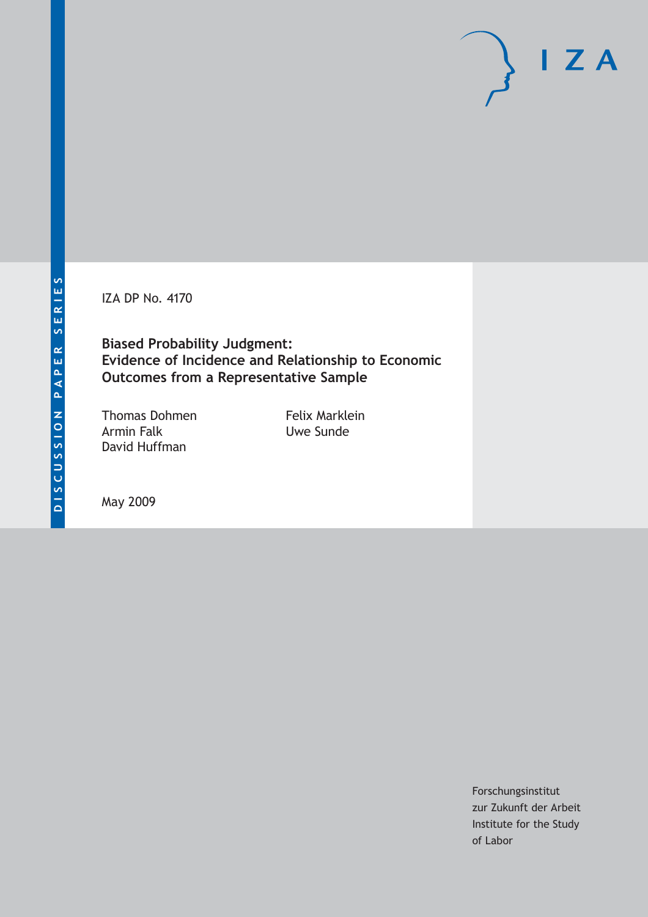IZA DP No. 4170

**Biased Probability Judgment: Evidence of Incidence and Relationship to Economic Outcomes from a Representative Sample**

Thomas Dohmen Armin Falk David Huffman

Felix Marklein Uwe Sunde

May 2009

Forschungsinstitut zur Zukunft der Arbeit Institute for the Study of Labor

 $I Z A$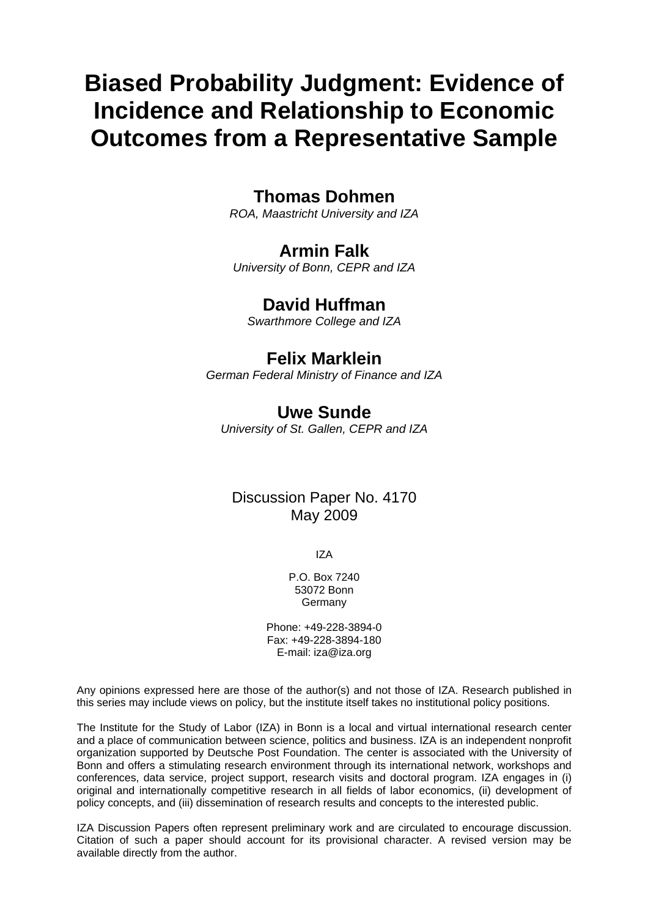# **Biased Probability Judgment: Evidence of Incidence and Relationship to Economic Outcomes from a Representative Sample**

## **Thomas Dohmen**

*ROA, Maastricht University and IZA* 

## **Armin Falk**

*University of Bonn, CEPR and IZA* 

### **David Huffman**

*Swarthmore College and IZA*

## **Felix Marklein**

*German Federal Ministry of Finance and IZA* 

## **Uwe Sunde**

*University of St. Gallen, CEPR and IZA*

### Discussion Paper No. 4170 May 2009

IZA

P.O. Box 7240 53072 Bonn Germany

Phone: +49-228-3894-0 Fax: +49-228-3894-180 E-mail: [iza@iza.org](mailto:iza@iza.org)

Any opinions expressed here are those of the author(s) and not those of IZA. Research published in this series may include views on policy, but the institute itself takes no institutional policy positions.

The Institute for the Study of Labor (IZA) in Bonn is a local and virtual international research center and a place of communication between science, politics and business. IZA is an independent nonprofit organization supported by Deutsche Post Foundation. The center is associated with the University of Bonn and offers a stimulating research environment through its international network, workshops and conferences, data service, project support, research visits and doctoral program. IZA engages in (i) original and internationally competitive research in all fields of labor economics, (ii) development of policy concepts, and (iii) dissemination of research results and concepts to the interested public.

IZA Discussion Papers often represent preliminary work and are circulated to encourage discussion. Citation of such a paper should account for its provisional character. A revised version may be available directly from the author.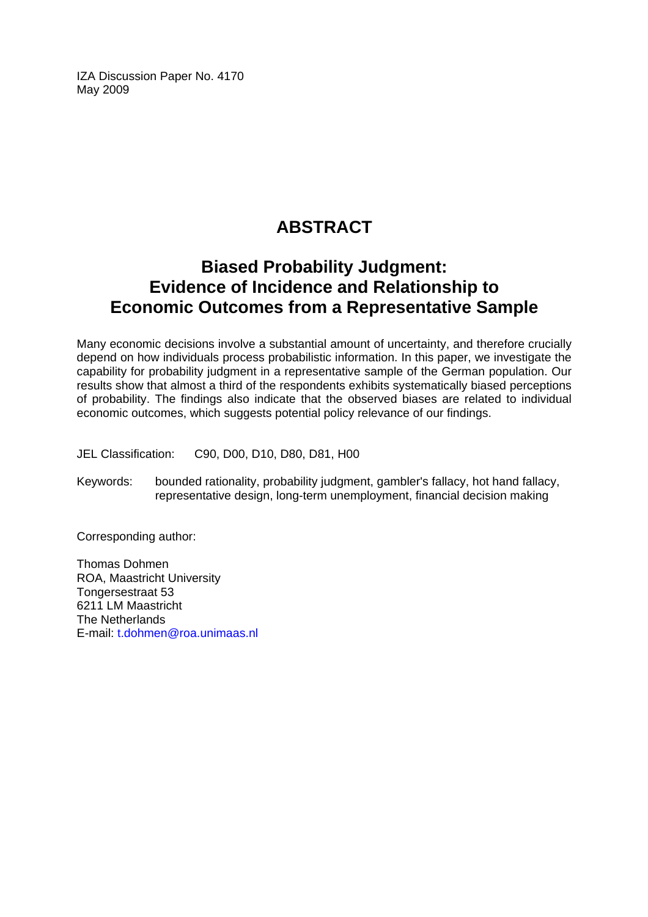IZA Discussion Paper No. 4170 May 2009

## **ABSTRACT**

## **Biased Probability Judgment: Evidence of Incidence and Relationship to Economic Outcomes from a Representative Sample**

Many economic decisions involve a substantial amount of uncertainty, and therefore crucially depend on how individuals process probabilistic information. In this paper, we investigate the capability for probability judgment in a representative sample of the German population. Our results show that almost a third of the respondents exhibits systematically biased perceptions of probability. The findings also indicate that the observed biases are related to individual economic outcomes, which suggests potential policy relevance of our findings.

JEL Classification: C90, D00, D10, D80, D81, H00

Keywords: bounded rationality, probability judgment, gambler's fallacy, hot hand fallacy, representative design, long-term unemployment, financial decision making

Corresponding author:

Thomas Dohmen ROA, Maastricht University Tongersestraat 53 6211 LM Maastricht The Netherlands E-mail: [t.dohmen@roa.unimaas.nl](mailto:t.dohmen@roa.unimaas.nl)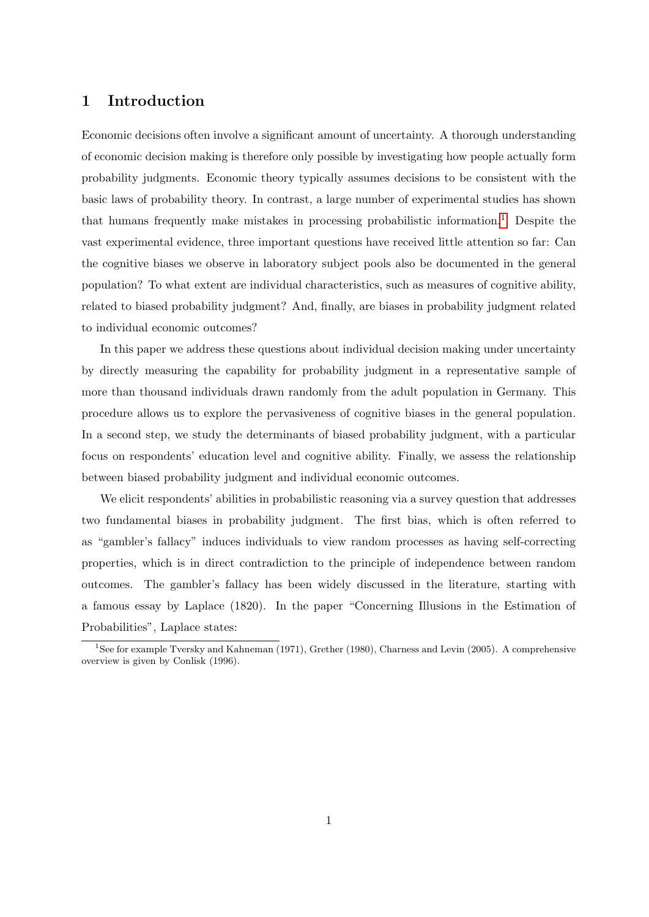#### 1 Introduction

Economic decisions often involve a significant amount of uncertainty. A thorough understanding of economic decision making is therefore only possible by investigating how people actually form probability judgments. Economic theory typically assumes decisions to be consistent with the basic laws of probability theory. In contrast, a large number of experimental studies has shown that humans frequently make mistakes in processing probabilistic information.[1](#page-3-0) Despite the vast experimental evidence, three important questions have received little attention so far: Can the cognitive biases we observe in laboratory subject pools also be documented in the general population? To what extent are individual characteristics, such as measures of cognitive ability, related to biased probability judgment? And, finally, are biases in probability judgment related to individual economic outcomes?

In this paper we address these questions about individual decision making under uncertainty by directly measuring the capability for probability judgment in a representative sample of more than thousand individuals drawn randomly from the adult population in Germany. This procedure allows us to explore the pervasiveness of cognitive biases in the general population. In a second step, we study the determinants of biased probability judgment, with a particular focus on respondents' education level and cognitive ability. Finally, we assess the relationship between biased probability judgment and individual economic outcomes.

We elicit respondents' abilities in probabilistic reasoning via a survey question that addresses two fundamental biases in probability judgment. The first bias, which is often referred to as "gambler's fallacy" induces individuals to view random processes as having self-correcting properties, which is in direct contradiction to the principle of independence between random outcomes. The gambler's fallacy has been widely discussed in the literature, starting with a famous essay by Laplace (1820). In the paper "Concerning Illusions in the Estimation of Probabilities", Laplace states:

<span id="page-3-0"></span><sup>&</sup>lt;sup>1</sup>See for example Tversky and Kahneman (1971), Grether (1980), Charness and Levin (2005). A comprehensive overview is given by Conlisk (1996).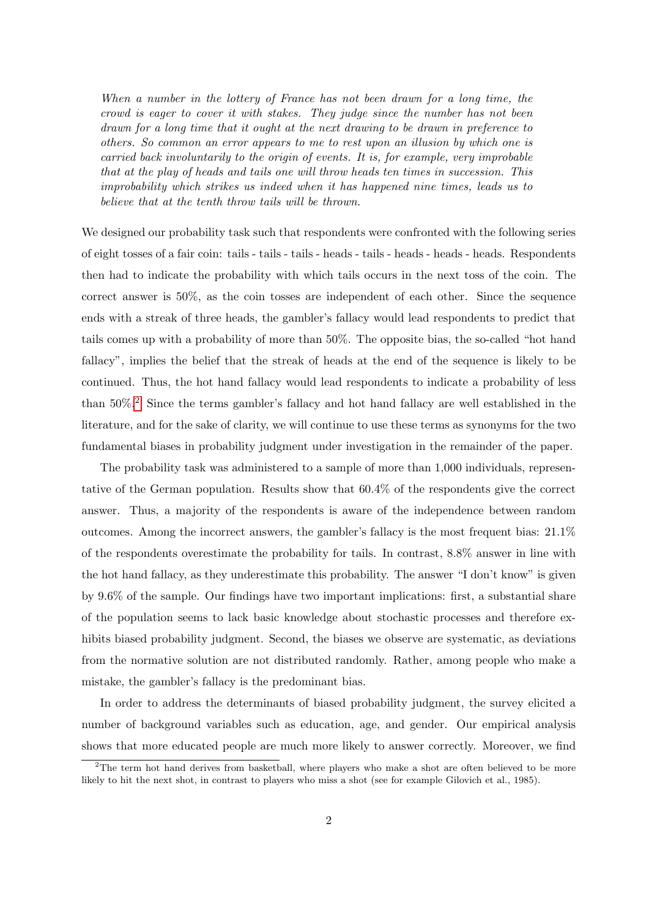When a number in the lottery of France has not been drawn for a long time, the crowd is eager to cover it with stakes. They judge since the number has not been drawn for a long time that it ought at the next drawing to be drawn in preference to others. So common an error appears to me to rest upon an illusion by which one is carried back involuntarily to the origin of events. It is, for example, very improbable that at the play of heads and tails one will throw heads ten times in succession. This improbability which strikes us indeed when it has happened nine times, leads us to believe that at the tenth throw tails will be thrown.

We designed our probability task such that respondents were confronted with the following series of eight tosses of a fair coin: tails - tails - tails - heads - tails - heads - heads - heads. Respondents then had to indicate the probability with which tails occurs in the next toss of the coin. The correct answer is 50%, as the coin tosses are independent of each other. Since the sequence ends with a streak of three heads, the gambler's fallacy would lead respondents to predict that tails comes up with a probability of more than 50%. The opposite bias, the so-called "hot hand fallacy", implies the belief that the streak of heads at the end of the sequence is likely to be continued. Thus, the hot hand fallacy would lead respondents to indicate a probability of less than  $50\%$ .<sup>[2](#page-4-0)</sup> Since the terms gambler's fallacy and hot hand fallacy are well established in the literature, and for the sake of clarity, we will continue to use these terms as synonyms for the two fundamental biases in probability judgment under investigation in the remainder of the paper.

The probability task was administered to a sample of more than 1,000 individuals, representative of the German population. Results show that 60.4% of the respondents give the correct answer. Thus, a majority of the respondents is aware of the independence between random outcomes. Among the incorrect answers, the gambler's fallacy is the most frequent bias:  $21.1\%$ of the respondents overestimate the probability for tails. In contrast, 8.8% answer in line with the hot hand fallacy, as they underestimate this probability. The answer "I don't know" is given by 9.6% of the sample. Our findings have two important implications: first, a substantial share of the population seems to lack basic knowledge about stochastic processes and therefore exhibits biased probability judgment. Second, the biases we observe are systematic, as deviations from the normative solution are not distributed randomly. Rather, among people who make a mistake, the gambler's fallacy is the predominant bias.

In order to address the determinants of biased probability judgment, the survey elicited a number of background variables such as education, age, and gender. Our empirical analysis shows that more educated people are much more likely to answer correctly. Moreover, we find

<span id="page-4-0"></span> $2$ The term hot hand derives from basketball, where players who make a shot are often believed to be more likely to hit the next shot, in contrast to players who miss a shot (see for example Gilovich et al., 1985).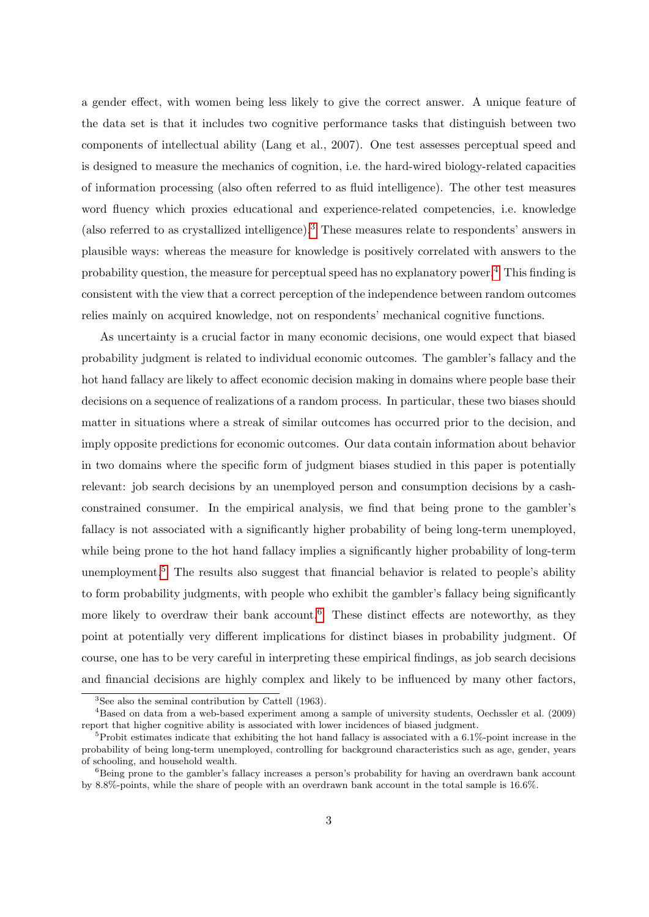a gender effect, with women being less likely to give the correct answer. A unique feature of the data set is that it includes two cognitive performance tasks that distinguish between two components of intellectual ability (Lang et al., 2007). One test assesses perceptual speed and is designed to measure the mechanics of cognition, i.e. the hard-wired biology-related capacities of information processing (also often referred to as fluid intelligence). The other test measures word fluency which proxies educational and experience-related competencies, i.e. knowledge (also referred to as crystallized intelligence).[3](#page-5-0) These measures relate to respondents' answers in plausible ways: whereas the measure for knowledge is positively correlated with answers to the probability question, the measure for perceptual speed has no explanatory power.<sup>[4](#page-5-1)</sup> This finding is consistent with the view that a correct perception of the independence between random outcomes relies mainly on acquired knowledge, not on respondents' mechanical cognitive functions.

As uncertainty is a crucial factor in many economic decisions, one would expect that biased probability judgment is related to individual economic outcomes. The gambler's fallacy and the hot hand fallacy are likely to affect economic decision making in domains where people base their decisions on a sequence of realizations of a random process. In particular, these two biases should matter in situations where a streak of similar outcomes has occurred prior to the decision, and imply opposite predictions for economic outcomes. Our data contain information about behavior in two domains where the specific form of judgment biases studied in this paper is potentially relevant: job search decisions by an unemployed person and consumption decisions by a cashconstrained consumer. In the empirical analysis, we find that being prone to the gambler's fallacy is not associated with a significantly higher probability of being long-term unemployed, while being prone to the hot hand fallacy implies a significantly higher probability of long-term unemployment.<sup>[5](#page-5-2)</sup> The results also suggest that financial behavior is related to people's ability to form probability judgments, with people who exhibit the gambler's fallacy being significantly more likely to overdraw their bank account.<sup>[6](#page-5-3)</sup> These distinct effects are noteworthy, as they point at potentially very different implications for distinct biases in probability judgment. Of course, one has to be very careful in interpreting these empirical findings, as job search decisions and financial decisions are highly complex and likely to be influenced by many other factors,

<span id="page-5-1"></span><span id="page-5-0"></span><sup>3</sup>See also the seminal contribution by Cattell (1963).

<sup>4</sup>Based on data from a web-based experiment among a sample of university students, Oechssler et al. (2009) report that higher cognitive ability is associated with lower incidences of biased judgment.

<span id="page-5-2"></span> $5P$ robit estimates indicate that exhibiting the hot hand fallacy is associated with a 6.1%-point increase in the probability of being long-term unemployed, controlling for background characteristics such as age, gender, years of schooling, and household wealth.

<span id="page-5-3"></span> ${}^{6}$ Being prone to the gambler's fallacy increases a person's probability for having an overdrawn bank account by 8.8%-points, while the share of people with an overdrawn bank account in the total sample is 16.6%.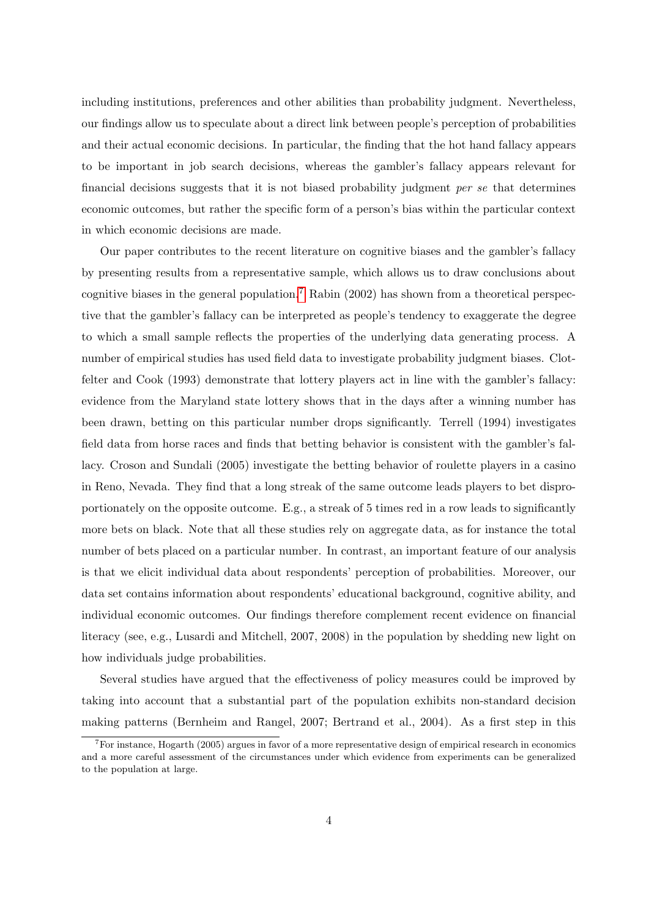including institutions, preferences and other abilities than probability judgment. Nevertheless, our findings allow us to speculate about a direct link between people's perception of probabilities and their actual economic decisions. In particular, the finding that the hot hand fallacy appears to be important in job search decisions, whereas the gambler's fallacy appears relevant for financial decisions suggests that it is not biased probability judgment per se that determines economic outcomes, but rather the specific form of a person's bias within the particular context in which economic decisions are made.

Our paper contributes to the recent literature on cognitive biases and the gambler's fallacy by presenting results from a representative sample, which allows us to draw conclusions about cognitive biases in the general population.<sup>[7](#page-6-0)</sup> Rabin (2002) has shown from a theoretical perspective that the gambler's fallacy can be interpreted as people's tendency to exaggerate the degree to which a small sample reflects the properties of the underlying data generating process. A number of empirical studies has used field data to investigate probability judgment biases. Clotfelter and Cook (1993) demonstrate that lottery players act in line with the gambler's fallacy: evidence from the Maryland state lottery shows that in the days after a winning number has been drawn, betting on this particular number drops significantly. Terrell (1994) investigates field data from horse races and finds that betting behavior is consistent with the gambler's fallacy. Croson and Sundali (2005) investigate the betting behavior of roulette players in a casino in Reno, Nevada. They find that a long streak of the same outcome leads players to bet disproportionately on the opposite outcome. E.g., a streak of 5 times red in a row leads to significantly more bets on black. Note that all these studies rely on aggregate data, as for instance the total number of bets placed on a particular number. In contrast, an important feature of our analysis is that we elicit individual data about respondents' perception of probabilities. Moreover, our data set contains information about respondents' educational background, cognitive ability, and individual economic outcomes. Our findings therefore complement recent evidence on financial literacy (see, e.g., Lusardi and Mitchell, 2007, 2008) in the population by shedding new light on how individuals judge probabilities.

Several studies have argued that the effectiveness of policy measures could be improved by taking into account that a substantial part of the population exhibits non-standard decision making patterns (Bernheim and Rangel, 2007; Bertrand et al., 2004). As a first step in this

<span id="page-6-0"></span> ${}^{7}$ For instance, Hogarth (2005) argues in favor of a more representative design of empirical research in economics and a more careful assessment of the circumstances under which evidence from experiments can be generalized to the population at large.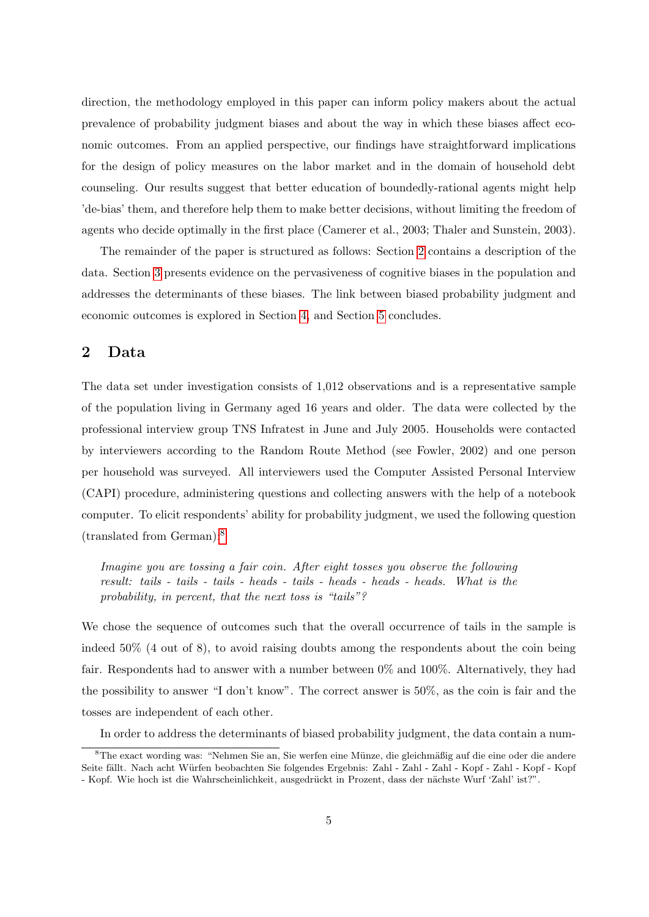direction, the methodology employed in this paper can inform policy makers about the actual prevalence of probability judgment biases and about the way in which these biases affect economic outcomes. From an applied perspective, our findings have straightforward implications for the design of policy measures on the labor market and in the domain of household debt counseling. Our results suggest that better education of boundedly-rational agents might help 'de-bias' them, and therefore help them to make better decisions, without limiting the freedom of agents who decide optimally in the first place (Camerer et al., 2003; Thaler and Sunstein, 2003).

The remainder of the paper is structured as follows: Section [2](#page-7-0) contains a description of the data. Section [3](#page-9-0) presents evidence on the pervasiveness of cognitive biases in the population and addresses the determinants of these biases. The link between biased probability judgment and economic outcomes is explored in Section [4,](#page-12-0) and Section [5](#page-17-0) concludes.

#### <span id="page-7-0"></span>2 Data

The data set under investigation consists of 1,012 observations and is a representative sample of the population living in Germany aged 16 years and older. The data were collected by the professional interview group TNS Infratest in June and July 2005. Households were contacted by interviewers according to the Random Route Method (see Fowler, 2002) and one person per household was surveyed. All interviewers used the Computer Assisted Personal Interview (CAPI) procedure, administering questions and collecting answers with the help of a notebook computer. To elicit respondents' ability for probability judgment, we used the following question (translated from German):[8](#page-7-1)

Imagine you are tossing a fair coin. After eight tosses you observe the following result: tails - tails - tails - heads - tails - heads - heads - heads. What is the probability, in percent, that the next toss is "tails"?

We chose the sequence of outcomes such that the overall occurrence of tails in the sample is indeed 50% (4 out of 8), to avoid raising doubts among the respondents about the coin being fair. Respondents had to answer with a number between 0% and 100%. Alternatively, they had the possibility to answer "I don't know". The correct answer is 50%, as the coin is fair and the tosses are independent of each other.

<span id="page-7-1"></span>In order to address the determinants of biased probability judgment, the data contain a num-

<sup>&</sup>lt;sup>8</sup>The exact wording was: "Nehmen Sie an, Sie werfen eine Münze, die gleichmäßig auf die eine oder die andere Seite fällt. Nach acht Würfen beobachten Sie folgendes Ergebnis: Zahl - Zahl - Zahl - Kopf - Zahl - Kopf - Kopf - Kopf. Wie hoch ist die Wahrscheinlichkeit, ausgedrückt in Prozent, dass der nächste Wurf 'Zahl' ist?".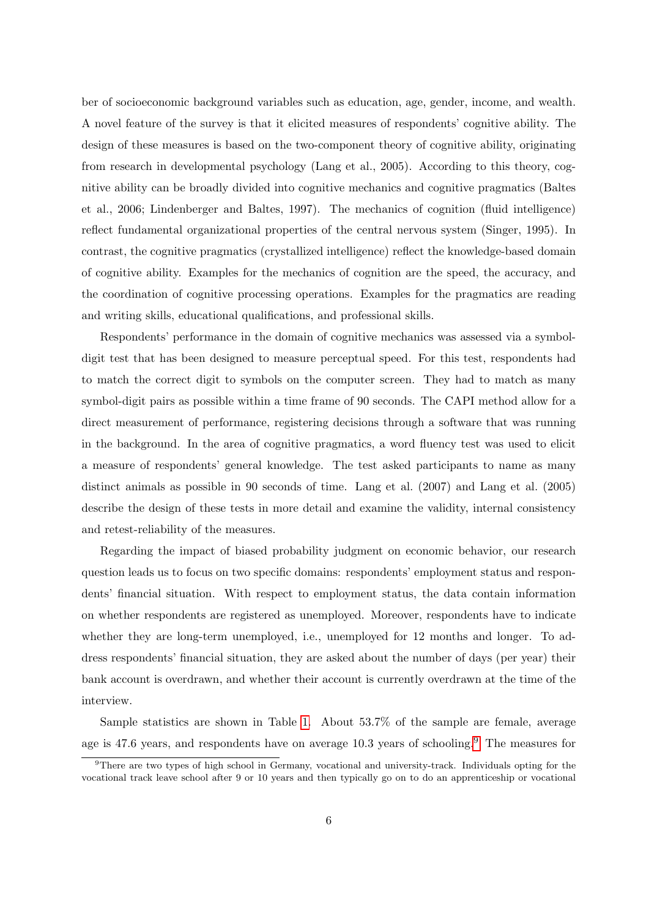ber of socioeconomic background variables such as education, age, gender, income, and wealth. A novel feature of the survey is that it elicited measures of respondents' cognitive ability. The design of these measures is based on the two-component theory of cognitive ability, originating from research in developmental psychology (Lang et al., 2005). According to this theory, cognitive ability can be broadly divided into cognitive mechanics and cognitive pragmatics (Baltes et al., 2006; Lindenberger and Baltes, 1997). The mechanics of cognition (fluid intelligence) reflect fundamental organizational properties of the central nervous system (Singer, 1995). In contrast, the cognitive pragmatics (crystallized intelligence) reflect the knowledge-based domain of cognitive ability. Examples for the mechanics of cognition are the speed, the accuracy, and the coordination of cognitive processing operations. Examples for the pragmatics are reading and writing skills, educational qualifications, and professional skills.

Respondents' performance in the domain of cognitive mechanics was assessed via a symboldigit test that has been designed to measure perceptual speed. For this test, respondents had to match the correct digit to symbols on the computer screen. They had to match as many symbol-digit pairs as possible within a time frame of 90 seconds. The CAPI method allow for a direct measurement of performance, registering decisions through a software that was running in the background. In the area of cognitive pragmatics, a word fluency test was used to elicit a measure of respondents' general knowledge. The test asked participants to name as many distinct animals as possible in 90 seconds of time. Lang et al. (2007) and Lang et al. (2005) describe the design of these tests in more detail and examine the validity, internal consistency and retest-reliability of the measures.

Regarding the impact of biased probability judgment on economic behavior, our research question leads us to focus on two specific domains: respondents' employment status and respondents' financial situation. With respect to employment status, the data contain information on whether respondents are registered as unemployed. Moreover, respondents have to indicate whether they are long-term unemployed, i.e., unemployed for 12 months and longer. To address respondents' financial situation, they are asked about the number of days (per year) their bank account is overdrawn, and whether their account is currently overdrawn at the time of the interview.

Sample statistics are shown in Table [1.](#page-22-0) About 53.7% of the sample are female, average age is 47.6 years, and respondents have on average  $10.3$  years of schooling.<sup>[9](#page-8-0)</sup> The measures for

<span id="page-8-0"></span><sup>&</sup>lt;sup>9</sup>There are two types of high school in Germany, vocational and university-track. Individuals opting for the vocational track leave school after 9 or 10 years and then typically go on to do an apprenticeship or vocational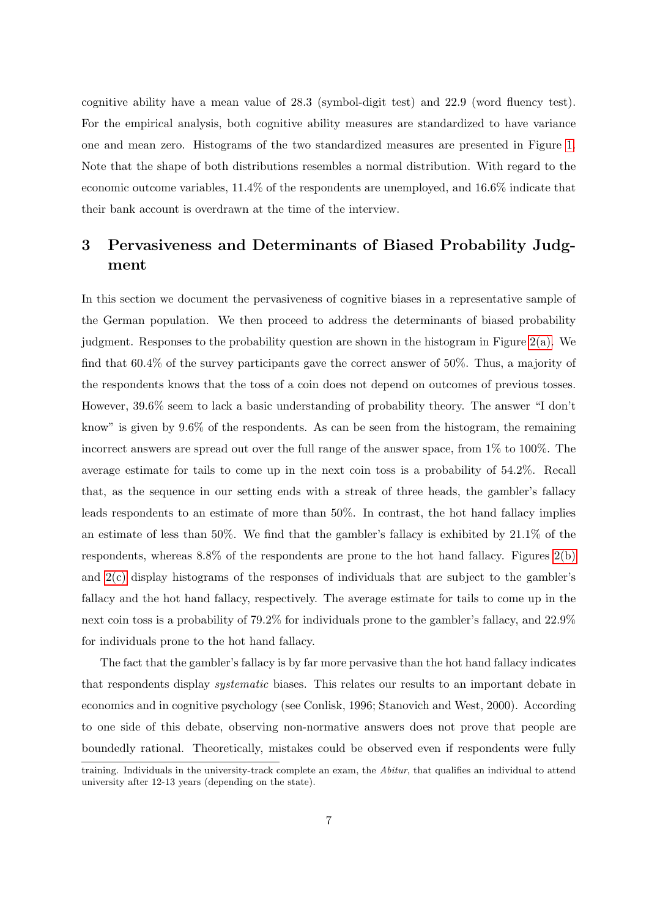cognitive ability have a mean value of 28.3 (symbol-digit test) and 22.9 (word fluency test). For the empirical analysis, both cognitive ability measures are standardized to have variance one and mean zero. Histograms of the two standardized measures are presented in Figure [1.](#page-22-1) Note that the shape of both distributions resembles a normal distribution. With regard to the economic outcome variables, 11.4% of the respondents are unemployed, and 16.6% indicate that their bank account is overdrawn at the time of the interview.

### <span id="page-9-0"></span>3 Pervasiveness and Determinants of Biased Probability Judgment

In this section we document the pervasiveness of cognitive biases in a representative sample of the German population. We then proceed to address the determinants of biased probability judgment. Responses to the probability question are shown in the histogram in Figure  $2(a)$ . We find that 60.4% of the survey participants gave the correct answer of 50%. Thus, a majority of the respondents knows that the toss of a coin does not depend on outcomes of previous tosses. However, 39.6% seem to lack a basic understanding of probability theory. The answer "I don't know" is given by 9.6% of the respondents. As can be seen from the histogram, the remaining incorrect answers are spread out over the full range of the answer space, from 1% to 100%. The average estimate for tails to come up in the next coin toss is a probability of 54.2%. Recall that, as the sequence in our setting ends with a streak of three heads, the gambler's fallacy leads respondents to an estimate of more than 50%. In contrast, the hot hand fallacy implies an estimate of less than  $50\%$ . We find that the gambler's fallacy is exhibited by  $21.1\%$  of the respondents, whereas 8.8% of the respondents are prone to the hot hand fallacy. Figures [2\(b\)](#page-23-1) and [2\(c\)](#page-23-2) display histograms of the responses of individuals that are subject to the gambler's fallacy and the hot hand fallacy, respectively. The average estimate for tails to come up in the next coin toss is a probability of 79.2% for individuals prone to the gambler's fallacy, and 22.9% for individuals prone to the hot hand fallacy.

The fact that the gambler's fallacy is by far more pervasive than the hot hand fallacy indicates that respondents display systematic biases. This relates our results to an important debate in economics and in cognitive psychology (see Conlisk, 1996; Stanovich and West, 2000). According to one side of this debate, observing non-normative answers does not prove that people are boundedly rational. Theoretically, mistakes could be observed even if respondents were fully

training. Individuals in the university-track complete an exam, the  $Abitur$ , that qualifies an individual to attend university after 12-13 years (depending on the state).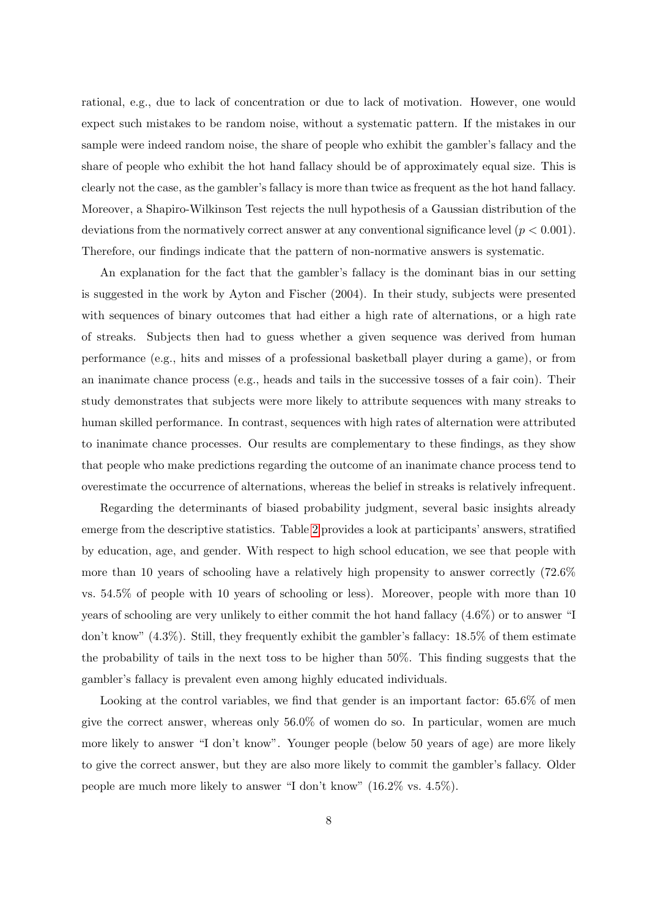rational, e.g., due to lack of concentration or due to lack of motivation. However, one would expect such mistakes to be random noise, without a systematic pattern. If the mistakes in our sample were indeed random noise, the share of people who exhibit the gambler's fallacy and the share of people who exhibit the hot hand fallacy should be of approximately equal size. This is clearly not the case, as the gambler's fallacy is more than twice as frequent as the hot hand fallacy. Moreover, a Shapiro-Wilkinson Test rejects the null hypothesis of a Gaussian distribution of the deviations from the normatively correct answer at any conventional significance level  $(p < 0.001)$ . Therefore, our findings indicate that the pattern of non-normative answers is systematic.

An explanation for the fact that the gambler's fallacy is the dominant bias in our setting is suggested in the work by Ayton and Fischer (2004). In their study, subjects were presented with sequences of binary outcomes that had either a high rate of alternations, or a high rate of streaks. Subjects then had to guess whether a given sequence was derived from human performance (e.g., hits and misses of a professional basketball player during a game), or from an inanimate chance process (e.g., heads and tails in the successive tosses of a fair coin). Their study demonstrates that subjects were more likely to attribute sequences with many streaks to human skilled performance. In contrast, sequences with high rates of alternation were attributed to inanimate chance processes. Our results are complementary to these findings, as they show that people who make predictions regarding the outcome of an inanimate chance process tend to overestimate the occurrence of alternations, whereas the belief in streaks is relatively infrequent.

Regarding the determinants of biased probability judgment, several basic insights already emerge from the descriptive statistics. Table [2](#page-24-0) provides a look at participants' answers, stratified by education, age, and gender. With respect to high school education, we see that people with more than 10 years of schooling have a relatively high propensity to answer correctly (72.6% vs. 54.5% of people with 10 years of schooling or less). Moreover, people with more than 10 years of schooling are very unlikely to either commit the hot hand fallacy (4.6%) or to answer "I don't know" (4.3%). Still, they frequently exhibit the gambler's fallacy: 18.5% of them estimate the probability of tails in the next toss to be higher than 50%. This finding suggests that the gambler's fallacy is prevalent even among highly educated individuals.

Looking at the control variables, we find that gender is an important factor:  $65.6\%$  of men give the correct answer, whereas only 56.0% of women do so. In particular, women are much more likely to answer "I don't know". Younger people (below 50 years of age) are more likely to give the correct answer, but they are also more likely to commit the gambler's fallacy. Older people are much more likely to answer "I don't know" (16.2% vs. 4.5%).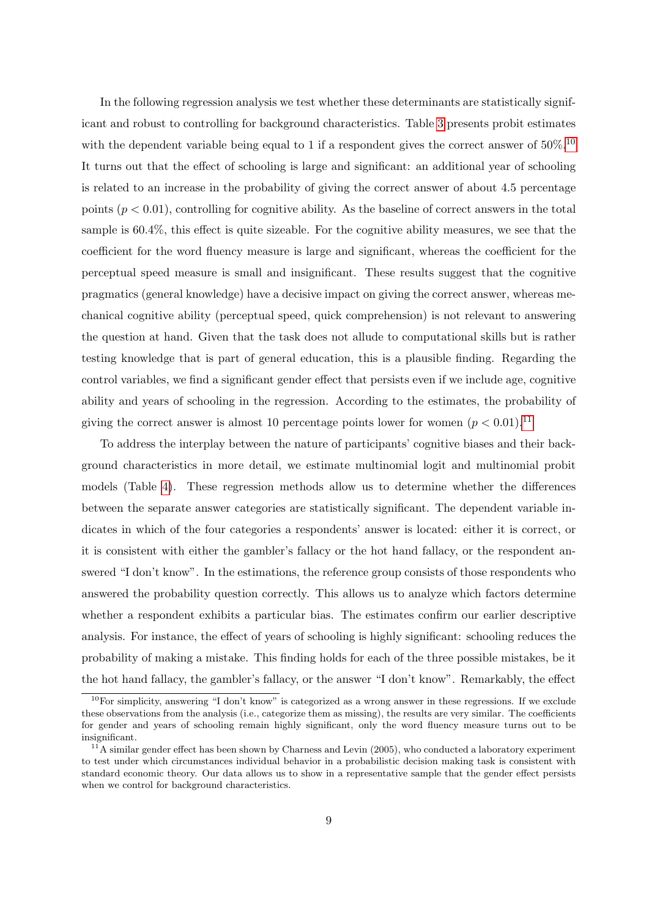In the following regression analysis we test whether these determinants are statistically significant and robust to controlling for background characteristics. Table [3](#page-25-0) presents probit estimates with the dependent variable being equal to 1 if a respondent gives the correct answer of  $50\%$ .<sup>[10](#page-11-0)</sup> It turns out that the effect of schooling is large and significant: an additional year of schooling is related to an increase in the probability of giving the correct answer of about 4.5 percentage points  $(p < 0.01)$ , controlling for cognitive ability. As the baseline of correct answers in the total sample is 60.4%, this effect is quite sizeable. For the cognitive ability measures, we see that the coefficient for the word fluency measure is large and significant, whereas the coefficient for the perceptual speed measure is small and insignificant. These results suggest that the cognitive pragmatics (general knowledge) have a decisive impact on giving the correct answer, whereas mechanical cognitive ability (perceptual speed, quick comprehension) is not relevant to answering the question at hand. Given that the task does not allude to computational skills but is rather testing knowledge that is part of general education, this is a plausible finding. Regarding the control variables, we find a significant gender effect that persists even if we include age, cognitive ability and years of schooling in the regression. According to the estimates, the probability of giving the correct answer is almost 10 percentage points lower for women  $(p < 0.01).$ <sup>[11](#page-11-1)</sup>

To address the interplay between the nature of participants' cognitive biases and their background characteristics in more detail, we estimate multinomial logit and multinomial probit models (Table [4\)](#page-26-0). These regression methods allow us to determine whether the differences between the separate answer categories are statistically significant. The dependent variable indicates in which of the four categories a respondents' answer is located: either it is correct, or it is consistent with either the gambler's fallacy or the hot hand fallacy, or the respondent answered "I don't know". In the estimations, the reference group consists of those respondents who answered the probability question correctly. This allows us to analyze which factors determine whether a respondent exhibits a particular bias. The estimates confirm our earlier descriptive analysis. For instance, the effect of years of schooling is highly significant: schooling reduces the probability of making a mistake. This finding holds for each of the three possible mistakes, be it the hot hand fallacy, the gambler's fallacy, or the answer "I don't know". Remarkably, the effect

<span id="page-11-0"></span> $10$ For simplicity, answering "I don't know" is categorized as a wrong answer in these regressions. If we exclude these observations from the analysis (i.e., categorize them as missing), the results are very similar. The coefficients for gender and years of schooling remain highly significant, only the word fluency measure turns out to be insignificant.

<span id="page-11-1"></span> $11$ A similar gender effect has been shown by Charness and Levin (2005), who conducted a laboratory experiment to test under which circumstances individual behavior in a probabilistic decision making task is consistent with standard economic theory. Our data allows us to show in a representative sample that the gender effect persists when we control for background characteristics.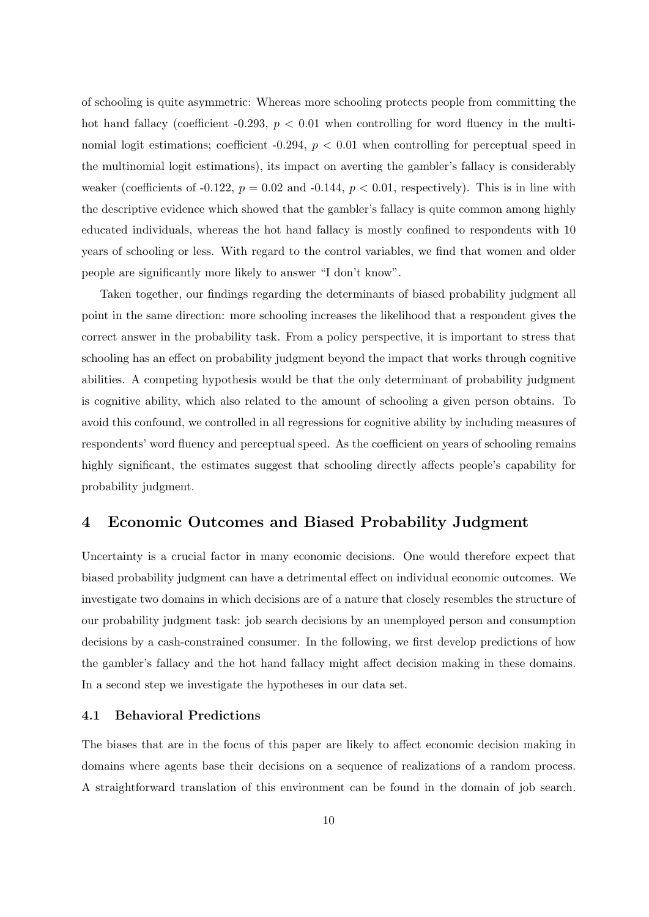of schooling is quite asymmetric: Whereas more schooling protects people from committing the hot hand fallacy (coefficient  $-0.293$ ,  $p < 0.01$  when controlling for word fluency in the multinomial logit estimations; coefficient  $-0.294$ ,  $p < 0.01$  when controlling for perceptual speed in the multinomial logit estimations), its impact on averting the gambler's fallacy is considerably weaker (coefficients of -0.122,  $p = 0.02$  and -0.144,  $p < 0.01$ , respectively). This is in line with the descriptive evidence which showed that the gambler's fallacy is quite common among highly educated individuals, whereas the hot hand fallacy is mostly confined to respondents with 10 years of schooling or less. With regard to the control variables, we find that women and older people are significantly more likely to answer "I don't know".

Taken together, our findings regarding the determinants of biased probability judgment all point in the same direction: more schooling increases the likelihood that a respondent gives the correct answer in the probability task. From a policy perspective, it is important to stress that schooling has an effect on probability judgment beyond the impact that works through cognitive abilities. A competing hypothesis would be that the only determinant of probability judgment is cognitive ability, which also related to the amount of schooling a given person obtains. To avoid this confound, we controlled in all regressions for cognitive ability by including measures of respondents' word fluency and perceptual speed. As the coefficient on years of schooling remains highly significant, the estimates suggest that schooling directly affects people's capability for probability judgment.

#### <span id="page-12-0"></span>4 Economic Outcomes and Biased Probability Judgment

Uncertainty is a crucial factor in many economic decisions. One would therefore expect that biased probability judgment can have a detrimental effect on individual economic outcomes. We investigate two domains in which decisions are of a nature that closely resembles the structure of our probability judgment task: job search decisions by an unemployed person and consumption decisions by a cash-constrained consumer. In the following, we first develop predictions of how the gambler's fallacy and the hot hand fallacy might affect decision making in these domains. In a second step we investigate the hypotheses in our data set.

#### <span id="page-12-1"></span>4.1 Behavioral Predictions

The biases that are in the focus of this paper are likely to affect economic decision making in domains where agents base their decisions on a sequence of realizations of a random process. A straightforward translation of this environment can be found in the domain of job search.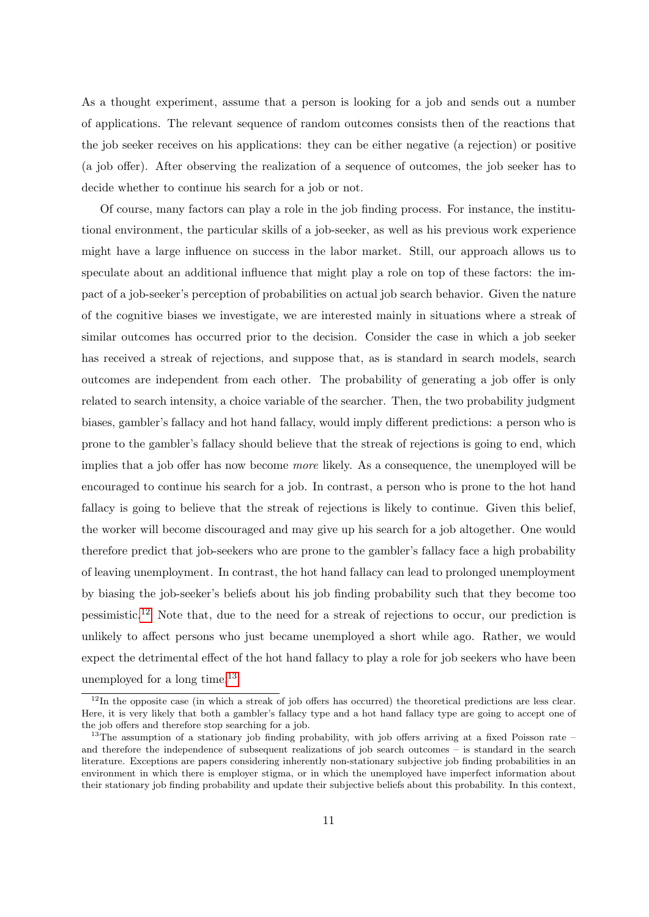As a thought experiment, assume that a person is looking for a job and sends out a number of applications. The relevant sequence of random outcomes consists then of the reactions that the job seeker receives on his applications: they can be either negative (a rejection) or positive (a job offer). After observing the realization of a sequence of outcomes, the job seeker has to decide whether to continue his search for a job or not.

Of course, many factors can play a role in the job finding process. For instance, the institutional environment, the particular skills of a job-seeker, as well as his previous work experience might have a large influence on success in the labor market. Still, our approach allows us to speculate about an additional influence that might play a role on top of these factors: the impact of a job-seeker's perception of probabilities on actual job search behavior. Given the nature of the cognitive biases we investigate, we are interested mainly in situations where a streak of similar outcomes has occurred prior to the decision. Consider the case in which a job seeker has received a streak of rejections, and suppose that, as is standard in search models, search outcomes are independent from each other. The probability of generating a job offer is only related to search intensity, a choice variable of the searcher. Then, the two probability judgment biases, gambler's fallacy and hot hand fallacy, would imply different predictions: a person who is prone to the gambler's fallacy should believe that the streak of rejections is going to end, which implies that a job offer has now become more likely. As a consequence, the unemployed will be encouraged to continue his search for a job. In contrast, a person who is prone to the hot hand fallacy is going to believe that the streak of rejections is likely to continue. Given this belief, the worker will become discouraged and may give up his search for a job altogether. One would therefore predict that job-seekers who are prone to the gambler's fallacy face a high probability of leaving unemployment. In contrast, the hot hand fallacy can lead to prolonged unemployment by biasing the job-seeker's beliefs about his job finding probability such that they become too pessimistic.[12](#page-13-0) Note that, due to the need for a streak of rejections to occur, our prediction is unlikely to affect persons who just became unemployed a short while ago. Rather, we would expect the detrimental effect of the hot hand fallacy to play a role for job seekers who have been unemployed for a long time.<sup>[13](#page-13-1)</sup>

<span id="page-13-0"></span> $12$ In the opposite case (in which a streak of job offers has occurred) the theoretical predictions are less clear. Here, it is very likely that both a gambler's fallacy type and a hot hand fallacy type are going to accept one of the job offers and therefore stop searching for a job.

<span id="page-13-1"></span> $13$ The assumption of a stationary job finding probability, with job offers arriving at a fixed Poisson rate – and therefore the independence of subsequent realizations of job search outcomes – is standard in the search literature. Exceptions are papers considering inherently non-stationary subjective job finding probabilities in an environment in which there is employer stigma, or in which the unemployed have imperfect information about their stationary job finding probability and update their subjective beliefs about this probability. In this context,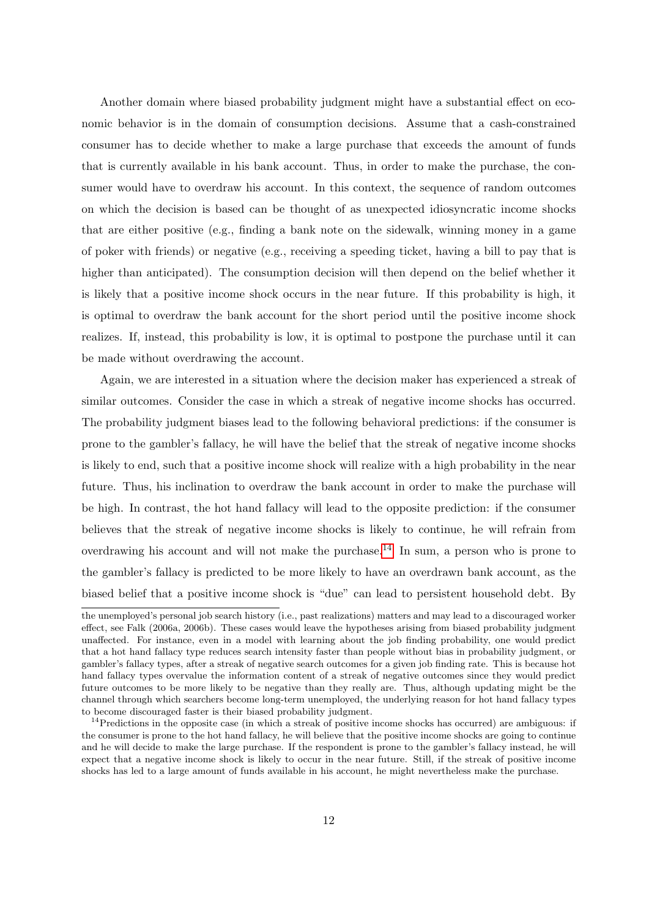Another domain where biased probability judgment might have a substantial effect on economic behavior is in the domain of consumption decisions. Assume that a cash-constrained consumer has to decide whether to make a large purchase that exceeds the amount of funds that is currently available in his bank account. Thus, in order to make the purchase, the consumer would have to overdraw his account. In this context, the sequence of random outcomes on which the decision is based can be thought of as unexpected idiosyncratic income shocks that are either positive (e.g., finding a bank note on the sidewalk, winning money in a game of poker with friends) or negative (e.g., receiving a speeding ticket, having a bill to pay that is higher than anticipated). The consumption decision will then depend on the belief whether it is likely that a positive income shock occurs in the near future. If this probability is high, it is optimal to overdraw the bank account for the short period until the positive income shock realizes. If, instead, this probability is low, it is optimal to postpone the purchase until it can be made without overdrawing the account.

Again, we are interested in a situation where the decision maker has experienced a streak of similar outcomes. Consider the case in which a streak of negative income shocks has occurred. The probability judgment biases lead to the following behavioral predictions: if the consumer is prone to the gambler's fallacy, he will have the belief that the streak of negative income shocks is likely to end, such that a positive income shock will realize with a high probability in the near future. Thus, his inclination to overdraw the bank account in order to make the purchase will be high. In contrast, the hot hand fallacy will lead to the opposite prediction: if the consumer believes that the streak of negative income shocks is likely to continue, he will refrain from overdrawing his account and will not make the purchase.<sup>[14](#page-14-0)</sup> In sum, a person who is prone to the gambler's fallacy is predicted to be more likely to have an overdrawn bank account, as the biased belief that a positive income shock is "due" can lead to persistent household debt. By

the unemployed's personal job search history (i.e., past realizations) matters and may lead to a discouraged worker effect, see Falk (2006a, 2006b). These cases would leave the hypotheses arising from biased probability judgment unaffected. For instance, even in a model with learning about the job finding probability, one would predict that a hot hand fallacy type reduces search intensity faster than people without bias in probability judgment, or gambler's fallacy types, after a streak of negative search outcomes for a given job finding rate. This is because hot hand fallacy types overvalue the information content of a streak of negative outcomes since they would predict future outcomes to be more likely to be negative than they really are. Thus, although updating might be the channel through which searchers become long-term unemployed, the underlying reason for hot hand fallacy types to become discouraged faster is their biased probability judgment.

<span id="page-14-0"></span> $14$ Predictions in the opposite case (in which a streak of positive income shocks has occurred) are ambiguous: if the consumer is prone to the hot hand fallacy, he will believe that the positive income shocks are going to continue and he will decide to make the large purchase. If the respondent is prone to the gambler's fallacy instead, he will expect that a negative income shock is likely to occur in the near future. Still, if the streak of positive income shocks has led to a large amount of funds available in his account, he might nevertheless make the purchase.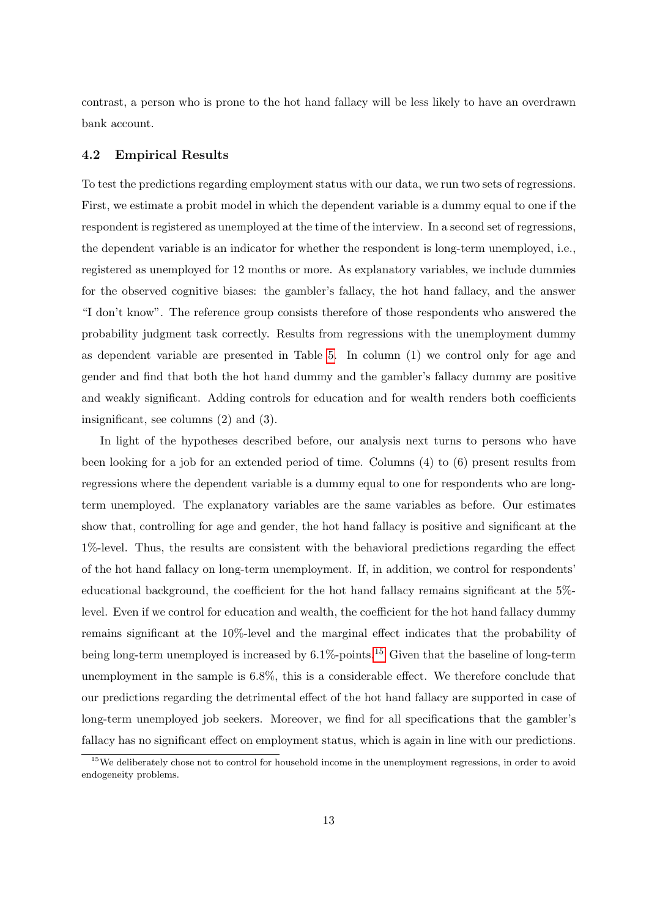contrast, a person who is prone to the hot hand fallacy will be less likely to have an overdrawn bank account.

#### 4.2 Empirical Results

To test the predictions regarding employment status with our data, we run two sets of regressions. First, we estimate a probit model in which the dependent variable is a dummy equal to one if the respondent is registered as unemployed at the time of the interview. In a second set of regressions, the dependent variable is an indicator for whether the respondent is long-term unemployed, i.e., registered as unemployed for 12 months or more. As explanatory variables, we include dummies for the observed cognitive biases: the gambler's fallacy, the hot hand fallacy, and the answer "I don't know". The reference group consists therefore of those respondents who answered the probability judgment task correctly. Results from regressions with the unemployment dummy as dependent variable are presented in Table [5.](#page-27-0) In column (1) we control only for age and gender and find that both the hot hand dummy and the gambler's fallacy dummy are positive and weakly significant. Adding controls for education and for wealth renders both coefficients insignificant, see columns (2) and (3).

In light of the hypotheses described before, our analysis next turns to persons who have been looking for a job for an extended period of time. Columns (4) to (6) present results from regressions where the dependent variable is a dummy equal to one for respondents who are longterm unemployed. The explanatory variables are the same variables as before. Our estimates show that, controlling for age and gender, the hot hand fallacy is positive and significant at the 1%-level. Thus, the results are consistent with the behavioral predictions regarding the effect of the hot hand fallacy on long-term unemployment. If, in addition, we control for respondents' educational background, the coefficient for the hot hand fallacy remains significant at the 5% level. Even if we control for education and wealth, the coefficient for the hot hand fallacy dummy remains significant at the 10%-level and the marginal effect indicates that the probability of being long-term unemployed is increased by 6.1%-points.<sup>[15](#page-15-0)</sup> Given that the baseline of long-term unemployment in the sample is 6.8%, this is a considerable effect. We therefore conclude that our predictions regarding the detrimental effect of the hot hand fallacy are supported in case of long-term unemployed job seekers. Moreover, we find for all specifications that the gambler's fallacy has no significant effect on employment status, which is again in line with our predictions.

<span id="page-15-0"></span><sup>&</sup>lt;sup>15</sup>We deliberately chose not to control for household income in the unemployment regressions, in order to avoid endogeneity problems.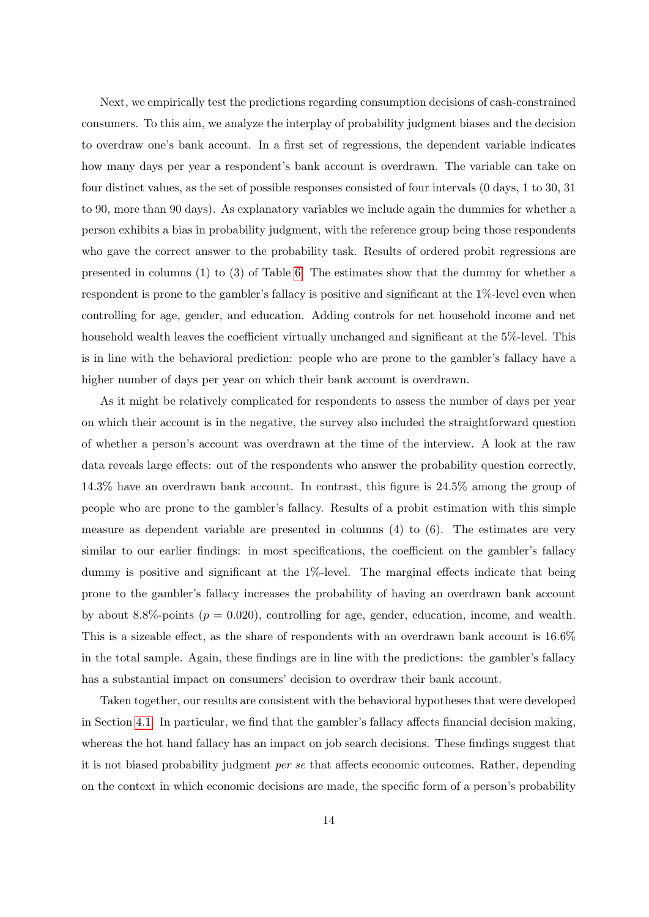Next, we empirically test the predictions regarding consumption decisions of cash-constrained consumers. To this aim, we analyze the interplay of probability judgment biases and the decision to overdraw one's bank account. In a first set of regressions, the dependent variable indicates how many days per year a respondent's bank account is overdrawn. The variable can take on four distinct values, as the set of possible responses consisted of four intervals (0 days, 1 to 30, 31 to 90, more than 90 days). As explanatory variables we include again the dummies for whether a person exhibits a bias in probability judgment, with the reference group being those respondents who gave the correct answer to the probability task. Results of ordered probit regressions are presented in columns (1) to (3) of Table [6.](#page-28-0) The estimates show that the dummy for whether a respondent is prone to the gambler's fallacy is positive and significant at the 1%-level even when controlling for age, gender, and education. Adding controls for net household income and net household wealth leaves the coefficient virtually unchanged and significant at the 5%-level. This is in line with the behavioral prediction: people who are prone to the gambler's fallacy have a higher number of days per year on which their bank account is overdrawn.

As it might be relatively complicated for respondents to assess the number of days per year on which their account is in the negative, the survey also included the straightforward question of whether a person's account was overdrawn at the time of the interview. A look at the raw data reveals large effects: out of the respondents who answer the probability question correctly, 14.3% have an overdrawn bank account. In contrast, this figure is 24.5% among the group of people who are prone to the gambler's fallacy. Results of a probit estimation with this simple measure as dependent variable are presented in columns (4) to (6). The estimates are very similar to our earlier findings: in most specifications, the coefficient on the gambler's fallacy dummy is positive and significant at the 1%-level. The marginal effects indicate that being prone to the gambler's fallacy increases the probability of having an overdrawn bank account by about 8.8%-points  $(p = 0.020)$ , controlling for age, gender, education, income, and wealth. This is a sizeable effect, as the share of respondents with an overdrawn bank account is 16.6% in the total sample. Again, these findings are in line with the predictions: the gambler's fallacy has a substantial impact on consumers' decision to overdraw their bank account.

Taken together, our results are consistent with the behavioral hypotheses that were developed in Section [4.1.](#page-12-1) In particular, we find that the gambler's fallacy affects financial decision making, whereas the hot hand fallacy has an impact on job search decisions. These findings suggest that it is not biased probability judgment per se that affects economic outcomes. Rather, depending on the context in which economic decisions are made, the specific form of a person's probability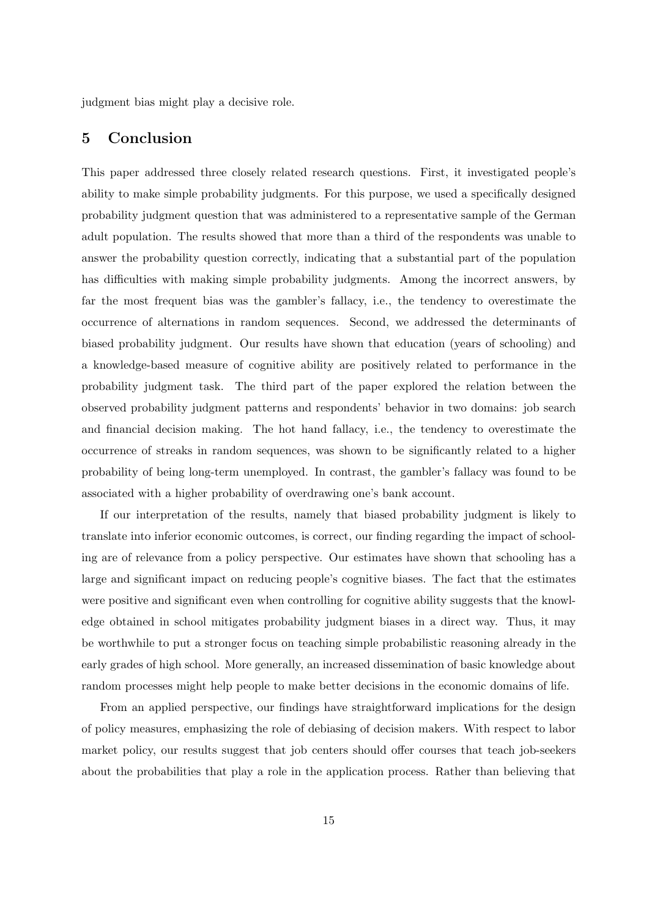judgment bias might play a decisive role.

#### <span id="page-17-0"></span>5 Conclusion

This paper addressed three closely related research questions. First, it investigated people's ability to make simple probability judgments. For this purpose, we used a specifically designed probability judgment question that was administered to a representative sample of the German adult population. The results showed that more than a third of the respondents was unable to answer the probability question correctly, indicating that a substantial part of the population has difficulties with making simple probability judgments. Among the incorrect answers, by far the most frequent bias was the gambler's fallacy, i.e., the tendency to overestimate the occurrence of alternations in random sequences. Second, we addressed the determinants of biased probability judgment. Our results have shown that education (years of schooling) and a knowledge-based measure of cognitive ability are positively related to performance in the probability judgment task. The third part of the paper explored the relation between the observed probability judgment patterns and respondents' behavior in two domains: job search and financial decision making. The hot hand fallacy, i.e., the tendency to overestimate the occurrence of streaks in random sequences, was shown to be significantly related to a higher probability of being long-term unemployed. In contrast, the gambler's fallacy was found to be associated with a higher probability of overdrawing one's bank account.

If our interpretation of the results, namely that biased probability judgment is likely to translate into inferior economic outcomes, is correct, our finding regarding the impact of schooling are of relevance from a policy perspective. Our estimates have shown that schooling has a large and significant impact on reducing people's cognitive biases. The fact that the estimates were positive and significant even when controlling for cognitive ability suggests that the knowledge obtained in school mitigates probability judgment biases in a direct way. Thus, it may be worthwhile to put a stronger focus on teaching simple probabilistic reasoning already in the early grades of high school. More generally, an increased dissemination of basic knowledge about random processes might help people to make better decisions in the economic domains of life.

From an applied perspective, our findings have straightforward implications for the design of policy measures, emphasizing the role of debiasing of decision makers. With respect to labor market policy, our results suggest that job centers should offer courses that teach job-seekers about the probabilities that play a role in the application process. Rather than believing that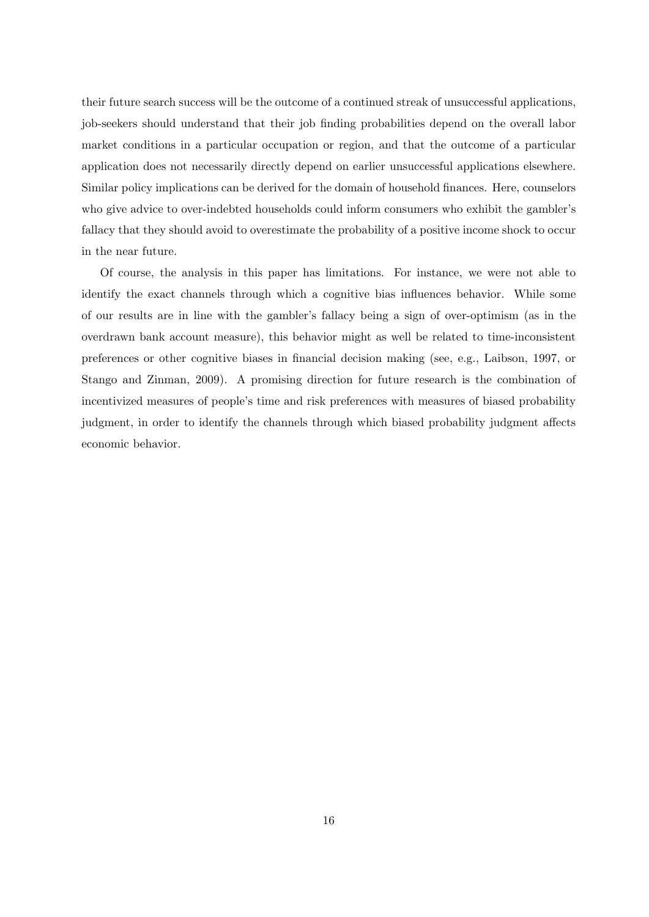their future search success will be the outcome of a continued streak of unsuccessful applications, job-seekers should understand that their job finding probabilities depend on the overall labor market conditions in a particular occupation or region, and that the outcome of a particular application does not necessarily directly depend on earlier unsuccessful applications elsewhere. Similar policy implications can be derived for the domain of household finances. Here, counselors who give advice to over-indebted households could inform consumers who exhibit the gambler's fallacy that they should avoid to overestimate the probability of a positive income shock to occur in the near future.

Of course, the analysis in this paper has limitations. For instance, we were not able to identify the exact channels through which a cognitive bias influences behavior. While some of our results are in line with the gambler's fallacy being a sign of over-optimism (as in the overdrawn bank account measure), this behavior might as well be related to time-inconsistent preferences or other cognitive biases in financial decision making (see, e.g., Laibson, 1997, or Stango and Zinman, 2009). A promising direction for future research is the combination of incentivized measures of people's time and risk preferences with measures of biased probability judgment, in order to identify the channels through which biased probability judgment affects economic behavior.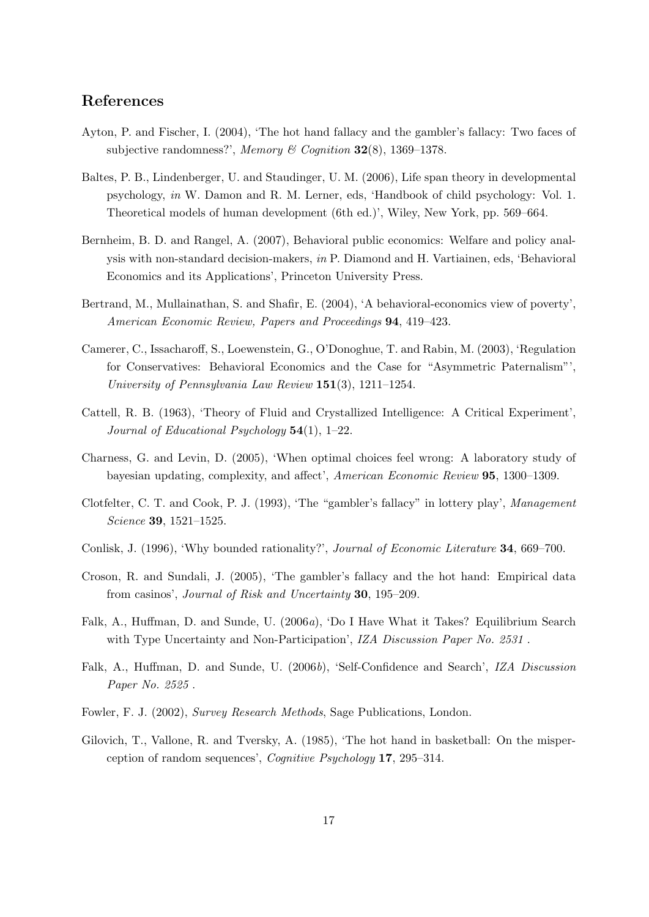#### References

- Ayton, P. and Fischer, I. (2004), 'The hot hand fallacy and the gambler's fallacy: Two faces of subjective randomness?', Memory & Cognition  $32(8)$ , 1369–1378.
- Baltes, P. B., Lindenberger, U. and Staudinger, U. M. (2006), Life span theory in developmental psychology, in W. Damon and R. M. Lerner, eds, 'Handbook of child psychology: Vol. 1. Theoretical models of human development (6th ed.)', Wiley, New York, pp. 569–664.
- Bernheim, B. D. and Rangel, A. (2007), Behavioral public economics: Welfare and policy analysis with non-standard decision-makers, in P. Diamond and H. Vartiainen, eds, 'Behavioral Economics and its Applications', Princeton University Press.
- Bertrand, M., Mullainathan, S. and Shafir, E. (2004), 'A behavioral-economics view of poverty', American Economic Review, Papers and Proceedings 94, 419–423.
- Camerer, C., Issacharoff, S., Loewenstein, G., O'Donoghue, T. and Rabin, M. (2003), 'Regulation for Conservatives: Behavioral Economics and the Case for "Asymmetric Paternalism"', University of Pennsylvania Law Review 151(3), 1211–1254.
- Cattell, R. B. (1963), 'Theory of Fluid and Crystallized Intelligence: A Critical Experiment', Journal of Educational Psychology  $54(1)$ , 1–22.
- Charness, G. and Levin, D. (2005), 'When optimal choices feel wrong: A laboratory study of bayesian updating, complexity, and affect', American Economic Review 95, 1300–1309.
- Clotfelter, C. T. and Cook, P. J. (1993), 'The "gambler's fallacy" in lottery play', Management Science 39, 1521–1525.
- Conlisk, J. (1996), 'Why bounded rationality?', Journal of Economic Literature 34, 669–700.
- Croson, R. and Sundali, J. (2005), 'The gambler's fallacy and the hot hand: Empirical data from casinos', Journal of Risk and Uncertainty 30, 195–209.
- Falk, A., Huffman, D. and Sunde, U. (2006a), 'Do I Have What it Takes? Equilibrium Search with Type Uncertainty and Non-Participation', IZA Discussion Paper No. 2531.
- Falk, A., Huffman, D. and Sunde, U. (2006b), 'Self-Confidence and Search', IZA Discussion Paper No. 2525 .
- Fowler, F. J. (2002), Survey Research Methods, Sage Publications, London.
- Gilovich, T., Vallone, R. and Tversky, A. (1985), 'The hot hand in basketball: On the misperception of random sequences', Cognitive Psychology 17, 295–314.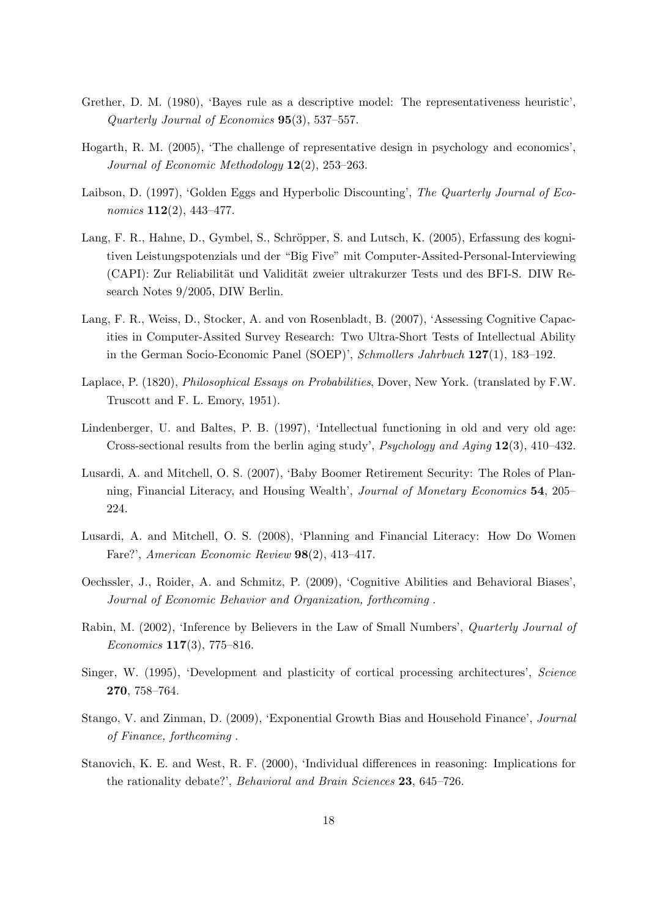- Grether, D. M. (1980), 'Bayes rule as a descriptive model: The representativeness heuristic', Quarterly Journal of Economics 95(3), 537–557.
- Hogarth, R. M. (2005), 'The challenge of representative design in psychology and economics', Journal of Economic Methodology 12(2), 253–263.
- Laibson, D. (1997), 'Golden Eggs and Hyperbolic Discounting', The Quarterly Journal of Economics **112**(2), 443-477.
- Lang, F. R., Hahne, D., Gymbel, S., Schröpper, S. and Lutsch, K. (2005), Erfassung des kognitiven Leistungspotenzials und der "Big Five" mit Computer-Assited-Personal-Interviewing (CAPI): Zur Reliabilität und Validität zweier ultrakurzer Tests und des BFI-S. DIW Research Notes 9/2005, DIW Berlin.
- Lang, F. R., Weiss, D., Stocker, A. and von Rosenbladt, B. (2007), 'Assessing Cognitive Capacities in Computer-Assited Survey Research: Two Ultra-Short Tests of Intellectual Ability in the German Socio-Economic Panel (SOEP)', Schmollers Jahrbuch 127(1), 183–192.
- Laplace, P. (1820), Philosophical Essays on Probabilities, Dover, New York. (translated by F.W. Truscott and F. L. Emory, 1951).
- Lindenberger, U. and Baltes, P. B. (1997), 'Intellectual functioning in old and very old age: Cross-sectional results from the berlin aging study', Psychology and Aging 12(3), 410–432.
- Lusardi, A. and Mitchell, O. S. (2007), 'Baby Boomer Retirement Security: The Roles of Planning, Financial Literacy, and Housing Wealth', Journal of Monetary Economics 54, 205– 224.
- Lusardi, A. and Mitchell, O. S. (2008), 'Planning and Financial Literacy: How Do Women Fare?', American Economic Review 98(2), 413–417.
- Oechssler, J., Roider, A. and Schmitz, P. (2009), 'Cognitive Abilities and Behavioral Biases', Journal of Economic Behavior and Organization, forthcoming .
- Rabin, M. (2002), 'Inference by Believers in the Law of Small Numbers', Quarterly Journal of Economics  $117(3)$ , 775–816.
- Singer, W. (1995), 'Development and plasticity of cortical processing architectures', Science 270, 758–764.
- Stango, V. and Zinman, D. (2009), 'Exponential Growth Bias and Household Finance', Journal of Finance, forthcoming .
- Stanovich, K. E. and West, R. F. (2000), 'Individual differences in reasoning: Implications for the rationality debate?', Behavioral and Brain Sciences 23, 645–726.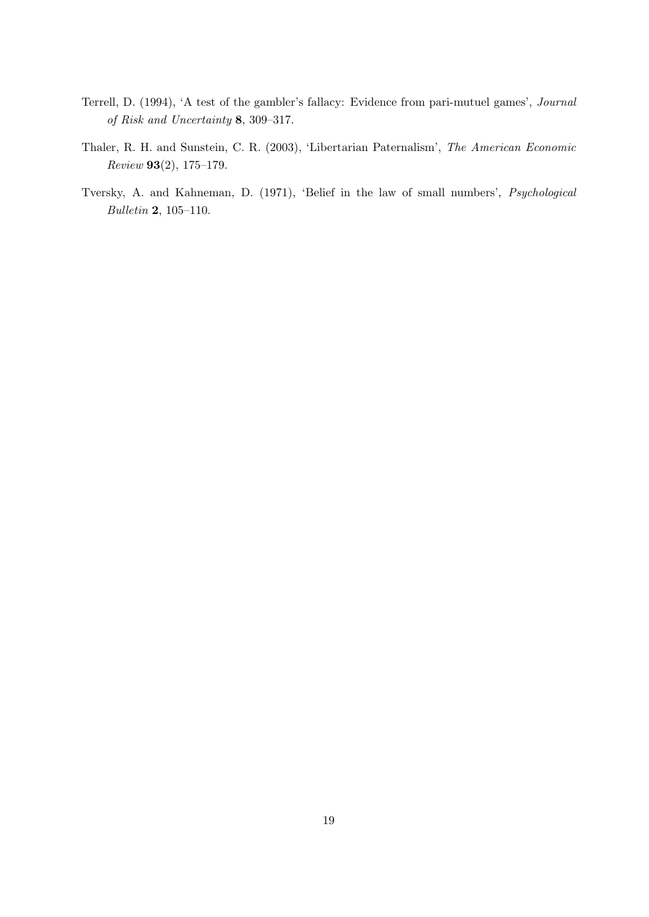- Terrell, D. (1994), 'A test of the gambler's fallacy: Evidence from pari-mutuel games', Journal of Risk and Uncertainty 8, 309–317.
- Thaler, R. H. and Sunstein, C. R. (2003), 'Libertarian Paternalism', The American Economic Review 93(2), 175–179.
- Tversky, A. and Kahneman, D. (1971), 'Belief in the law of small numbers', Psychological Bulletin 2, 105–110.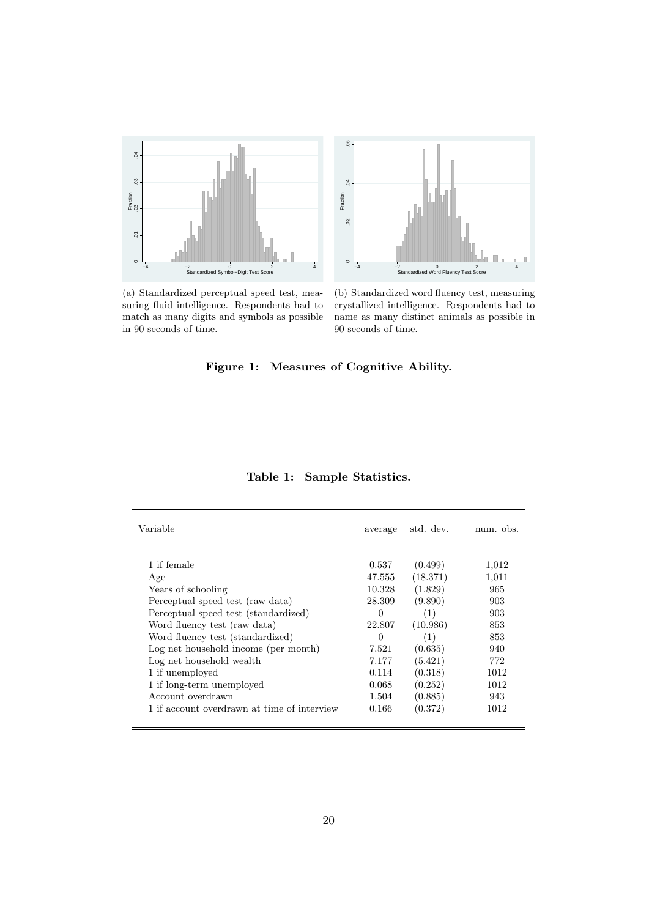



(a) Standardized perceptual speed test, measuring fluid intelligence. Respondents had to match as many digits and symbols as possible in 90 seconds of time.

(b) Standardized word fluency test, measuring crystallized intelligence. Respondents had to name as many distinct animals as possible in 90 seconds of time.

<span id="page-22-1"></span>

| Variable                                    | average  | std. dev. | num. obs. |
|---------------------------------------------|----------|-----------|-----------|
| 1 if female                                 | 0.537    | (0.499)   | 1,012     |
| Age                                         | 47.555   | (18.371)  | 1,011     |
| Years of schooling                          | 10.328   | (1.829)   | 965       |
| Perceptual speed test (raw data)            | 28.309   | (9.890)   | 903       |
| Perceptual speed test (standardized)        | 0        | (1)       | 903       |
| Word fluency test (raw data)                | 22.807   | (10.986)  | 853       |
| Word fluency test (standardized)            | $\Omega$ | (1)       | 853       |
| Log net household income (per month)        | 7.521    | (0.635)   | 940       |
| Log net household wealth                    | 7.177    | (5.421)   | 772       |
| 1 if unemployed                             | 0.114    | (0.318)   | 1012      |
| 1 if long-term unemployed                   | 0.068    | (0.252)   | 1012      |
| Account overdrawn                           | 1.504    | (0.885)   | 943       |
| 1 if account overdrawn at time of interview | 0.166    | (0.372)   | 1012      |
|                                             |          |           |           |

#### <span id="page-22-0"></span>Table 1: Sample Statistics.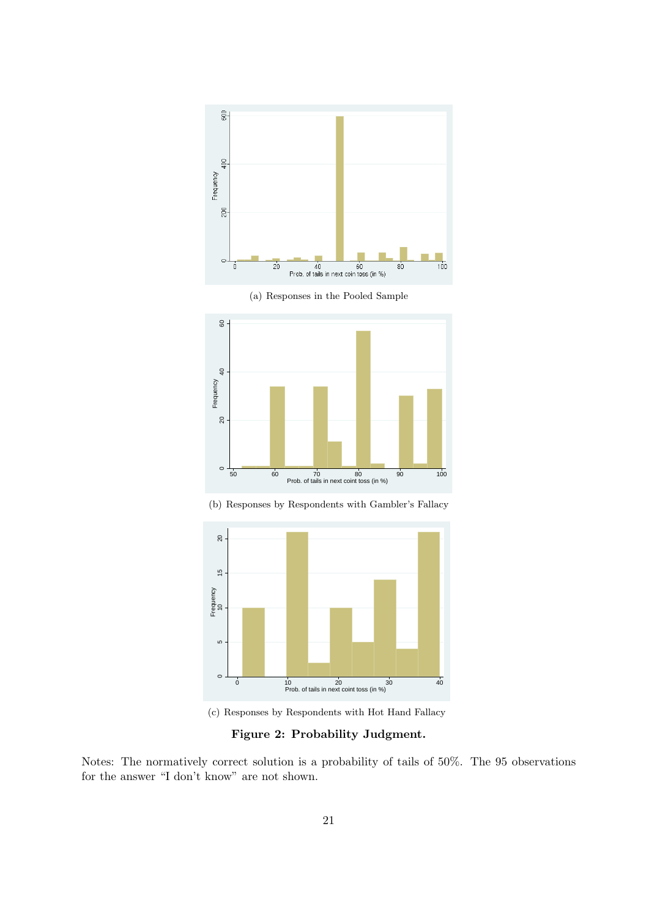<span id="page-23-0"></span>

(a) Responses in the Pooled Sample



<span id="page-23-1"></span>(b) Responses by Respondents with Gambler's Fallacy



<span id="page-23-2"></span>(c) Responses by Respondents with Hot Hand Fallacy

Figure 2: Probability Judgment.

Notes: The normatively correct solution is a probability of tails of 50%. The 95 observations for the answer "I don't know" are not shown.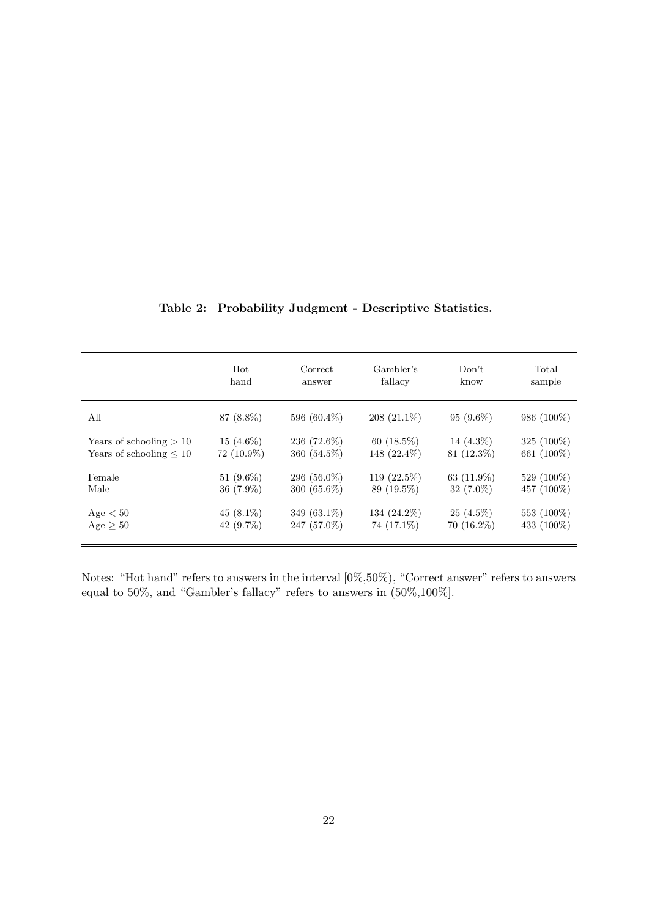|                              | Hot          | Correct        | Gambler's      | Don't         | Total       |
|------------------------------|--------------|----------------|----------------|---------------|-------------|
|                              | hand         | answer         | fallacy        | know          | sample      |
| All                          | 87 (8.8%)    | 596 (60.4%)    | $208(21.1\%)$  | $95(9.6\%)$   | 986 (100%)  |
| Years of schooling $>10$     | $15(4.6\%)$  | 236 $(72.6\%)$ | 60 $(18.5\%)$  | 14 $(4.3\%)$  | 325 (100\%) |
| Years of schooling $\leq 10$ | $72(10.9\%)$ | 360 (54.5%)    | 148 $(22.4\%)$ | $81(12.3\%)$  | 661 (100\%) |
| Female                       | $51(9.6\%)$  | 296 $(56.0\%)$ | $119(22.5\%)$  | 63 $(11.9\%)$ | 529 (100%)  |
| Male                         | $36(7.9\%)$  | 300 $(65.6\%)$ | 89 (19.5%)     | $32(7.0\%)$   | 457 (100\%) |
| Age < 50                     | 45 $(8.1\%)$ | 349 (63.1%)    | 134 $(24.2\%)$ | $25(4.5\%)$   | 553 (100\%) |
| Age $\geq 50$                | 42 $(9.7\%)$ | 247 (57.0%)    | 74 (17.1%)     | $70(16.2\%)$  | 433 (100\%) |

#### <span id="page-24-0"></span>Table 2: Probability Judgment - Descriptive Statistics.

Notes: "Hot hand" refers to answers in the interval  $[0\%, 50\%)$ , "Correct answer" refers to answers equal to 50%, and "Gambler's fallacy" refers to answers in (50%,100%].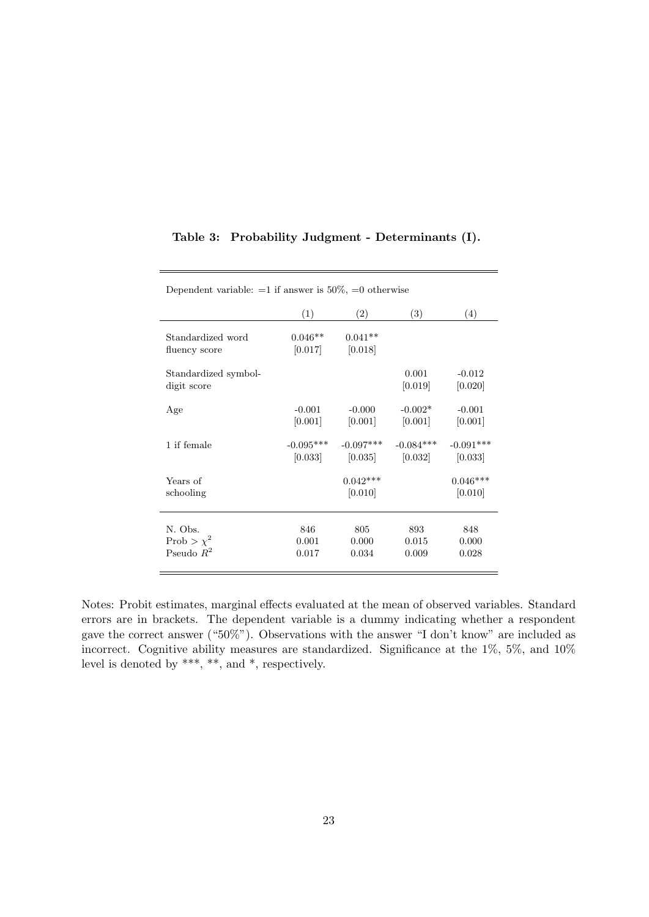| Dependent variable: $=1$ if answer is 50%, $=0$ otherwise |                        |                        |                        |                        |
|-----------------------------------------------------------|------------------------|------------------------|------------------------|------------------------|
|                                                           | (1)                    | (2)                    | (3)                    | (4)                    |
| Standardized word<br>fluency score                        | $0.046**$<br>[0.017]   | $0.041**$<br>[0.018]   |                        |                        |
| Standardized symbol-<br>digit score                       |                        |                        | 0.001<br>[0.019]       | $-0.012$<br>[0.020]    |
| Age                                                       | $-0.001$<br>[0.001]    | $-0.000$<br>[0.001]    | $-0.002*$<br>[0.001]   | $-0.001$<br>[0.001]    |
| 1 if female                                               | $-0.095***$<br>[0.033] | $-0.097***$<br>[0.035] | $-0.084***$<br>[0.032] | $-0.091***$<br>[0.033] |
| Years of<br>schooling                                     |                        | $0.042***$<br>[0.010]  |                        | $0.046***$<br>[0.010]  |
| N. Obs.<br>Prob > $\chi^2$<br>Pseudo $R^2$                | 846<br>0.001<br>0.017  | 805<br>0.000<br>0.034  | 893<br>0.015<br>0.009  | 848<br>0.000<br>0.028  |

<span id="page-25-0"></span>Table 3: Probability Judgment - Determinants (I).

Notes: Probit estimates, marginal effects evaluated at the mean of observed variables. Standard errors are in brackets. The dependent variable is a dummy indicating whether a respondent gave the correct answer ("50%"). Observations with the answer "I don't know" are included as incorrect. Cognitive ability measures are standardized. Significance at the 1%, 5%, and 10% level is denoted by \*\*\*, \*\*, and \*, respectively.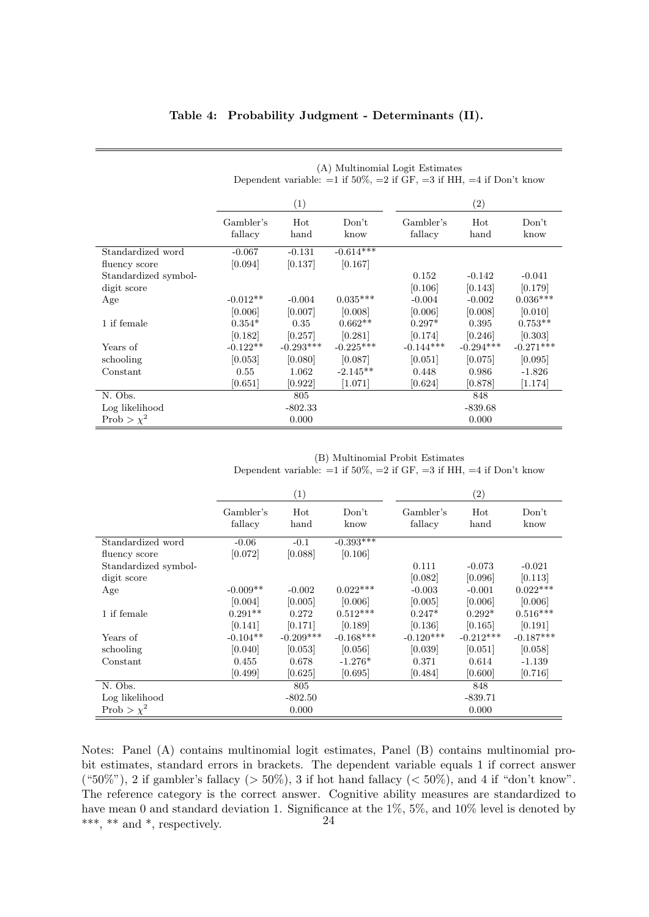|                      |                      |             |               | Dependent variable: $=1$ if $50\%$ , $=2$ if GF, $=3$ if HH, $=4$ if Don't know |                   |               |
|----------------------|----------------------|-------------|---------------|---------------------------------------------------------------------------------|-------------------|---------------|
|                      |                      | (1)         |               |                                                                                 | $\left( 2\right)$ |               |
|                      | Gambler's<br>fallacy | Hot<br>hand | Don't<br>know | Gambler's<br>fallacy                                                            | Hot<br>hand       | Don't<br>know |
| Standardized word    | $-0.067$             | $-0.131$    | $-0.614***$   |                                                                                 |                   |               |
| fluency score        | [0.094]              | [0.137]     | [0.167]       |                                                                                 |                   |               |
| Standardized symbol- |                      |             |               | 0.152                                                                           | $-0.142$          | $-0.041$      |
| digit score          |                      |             |               | [0.106]                                                                         | [0.143]           | [0.179]       |
| Age                  | $-0.012**$           | $-0.004$    | $0.035***$    | $-0.004$                                                                        | $-0.002$          | $0.036***$    |
|                      | [0.006]              | [0.007]     | [0.008]       | [0.006]                                                                         | [0.008]           | [0.010]       |
| 1 if female          | $0.354*$             | 0.35        | $0.662**$     | $0.297*$                                                                        | 0.395             | $0.753**$     |
|                      | [0.182]              | [0.257]     | [0.281]       | [0.174]                                                                         | [0.246]           | [0.303]       |
| Years of             | $-0.122**$           | $-0.293***$ | $-0.225***$   | $-0.144***$                                                                     | $-0.294***$       | $-0.271***$   |
| schooling            | [0.053]              | [0.080]     | [0.087]       | [0.051]                                                                         | [0.075]           | [0.095]       |
| Constant             | 0.55                 | 1.062       | $-2.145**$    | 0.448                                                                           | 0.986             | $-1.826$      |
|                      | [0.651]              | [0.922]     | [1.071]       | [0.624]                                                                         | [0.878]           | $[1.174]$     |
| N. Obs.              |                      | 805         |               |                                                                                 | 848               |               |
| Log likelihood       |                      | $-802.33$   |               |                                                                                 | $-839.68$         |               |
| Prob > $\chi^2$      |                      | 0.000       |               |                                                                                 | 0.000             |               |

#### <span id="page-26-0"></span>Table 4: Probability Judgment - Determinants (II).

(B) Multinomial Probit Estimates Dependent variable:  $=1$  if  $50\%, =2$  if GF,  $=3$  if HH,  $=4$  if Don't know

(A) Multinomial Logit Estimates

|                      |                      | (1)         |               |                      | $\left( 2\right)$ |               |
|----------------------|----------------------|-------------|---------------|----------------------|-------------------|---------------|
|                      | Gambler's<br>fallacy | Hot<br>hand | Don't<br>know | Gambler's<br>fallacy | Hot<br>hand       | Don't<br>know |
| Standardized word    | $-0.06$              | $-0.1$      | $-0.393***$   |                      |                   |               |
| fluency score        | [0.072]              | [0.088]     | [0.106]       |                      |                   |               |
| Standardized symbol- |                      |             |               | 0.111                | $-0.073$          | $-0.021$      |
| digit score          |                      |             |               | [0.082]              | [0.096]           | [0.113]       |
| Age                  | $-0.009**$           | $-0.002$    | $0.022***$    | $-0.003$             | $-0.001$          | $0.022***$    |
|                      | [0.004]              | [0.005]     | [0.006]       | [0.005]              | [0.006]           | [0.006]       |
| 1 if female          | $0.291**$            | 0.272       | $0.512***$    | $0.247*$             | $0.292*$          | $0.516***$    |
|                      | [0.141]              | [0.171]     | [0.189]       | [0.136]              | [0.165]           | [0.191]       |
| Years of             | $-0.104**$           | $-0.209***$ | $-0.168***$   | $-0.120***$          | $-0.212***$       | $-0.187***$   |
| schooling            | [0.040]              | [0.053]     | [0.056]       | [0.039]              | [0.051]           | [0.058]       |
| Constant             | 0.455                | 0.678       | $-1.276*$     | 0.371                | 0.614             | $-1.139$      |
|                      | [0.499]              | [0.625]     | [0.695]       | [0.484]              | [0.600]           | [0.716]       |
| N. Obs.              |                      | 805         |               |                      | 848               |               |
| Log likelihood       |                      | $-802.50$   |               |                      | $-839.71$         |               |
| Prob > $\chi^2$      |                      | 0.000       |               |                      | 0.000             |               |

Notes: Panel (A) contains multinomial logit estimates, Panel (B) contains multinomial probit estimates, standard errors in brackets. The dependent variable equals 1 if correct answer ("50%"), 2 if gambler's fallacy ( $> 50\%$ ), 3 if hot hand fallacy ( $< 50\%$ ), and 4 if "don't know". The reference category is the correct answer. Cognitive ability measures are standardized to have mean 0 and standard deviation 1. Significance at the 1%, 5%, and 10% level is denoted by \*\*\* \*\* and \* representively. \*\*\*, \*\* and \*, respectively.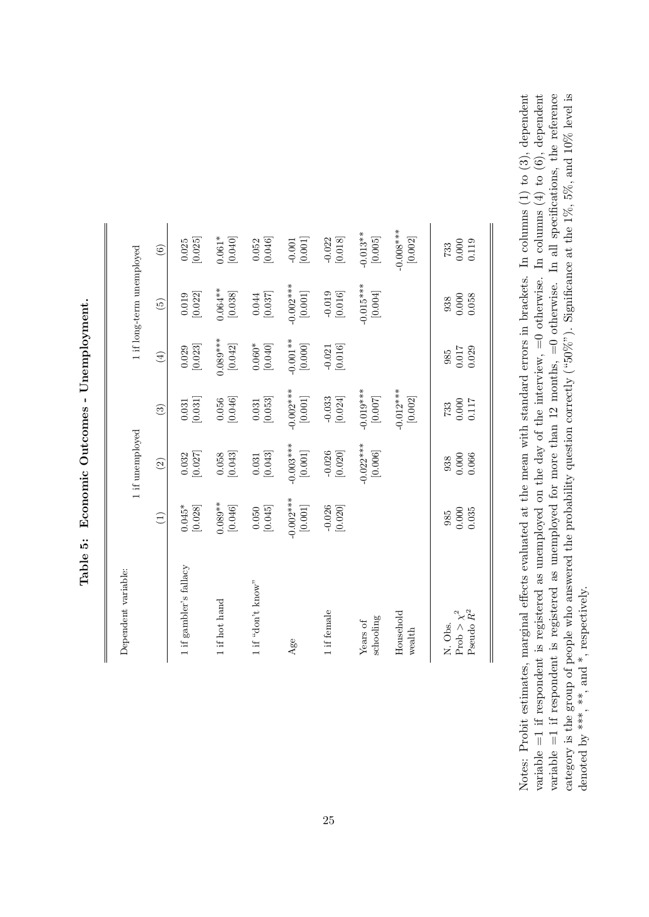| $\overline{a}$<br>i<br>i<br>I                                           |
|-------------------------------------------------------------------------|
| ı                                                                       |
| י<br>י<br>I                                                             |
| .<br>.<br>.<br>ŗ                                                        |
| ١<br>l                                                                  |
| i<br>!<br>֖֖֖ׅׅ֚֚֚֚֚֚֚֚֚֚֚֚֚֚֚֚֬֡֡֡֬֝֬֓֡֬֝֬֓֡֬֝֬֓֡֬֓֬֓֬֓֬֓֬֓֬֓֬֓֬֓֬֓֬֝֬ |

| Dependent variable:                                                              |                                       | 1 if unemployed                                |                                                      |                                     | 1 if long-term unemployed                      |                                                      |
|----------------------------------------------------------------------------------|---------------------------------------|------------------------------------------------|------------------------------------------------------|-------------------------------------|------------------------------------------------|------------------------------------------------------|
|                                                                                  | $\widehat{\Xi}$                       | $\widehat{2}$                                  | $\widehat{\mathbf{c}}$                               | $(\pm)$                             | $\widetilde{5}$                                | $\widehat{c}$                                        |
| 1 if gambler's fallacy                                                           | $0.045*$<br>[0.028]                   | $0.032$<br>$[0.027]$                           | $\left[0.031\right]$ $\left[0.031\right]$            | $0.029$<br>$[0.023]$                | $\begin{bmatrix} 0.019 \\ 0.022 \end{bmatrix}$ | $\begin{bmatrix} 0.025 \\ 0.025 \end{bmatrix}$       |
| 1 if hot hand                                                                    | $0.089**$ [0.046]                     | $0.058$<br>$[0.043]$                           | $0.056$<br>$[0.046]$                                 | $0.089***$<br>$\left[ 0.042\right]$ | $0.064**$<br>[0.038]                           | $0.061*$<br>[0.040]                                  |
| $1$ if "don't know"                                                              | $[0.050$ $[0.045]$                    | $\begin{bmatrix} 0.031 \\ 0.043 \end{bmatrix}$ | $\begin{bmatrix} 0.031 \\ 0.053 \end{bmatrix}$       | $0.060*$ [0.040]                    | $\begin{array}{c} 0.044 \\ 0.037 \end{array}$  | $0.052$<br>[ $0.046$ ]                               |
| Age                                                                              | $-0.002$ ***<br>$\left[ 0.001\right]$ | $-0.003***$<br>$[0.001]$                       | $-0.002***$                                          | $-0.001**$<br>[0.000]               | $-0.002***$                                    | $\begin{bmatrix} 0.001 \\ 0.001 \end{bmatrix}$       |
| 1 if female                                                                      | $-0.026$<br>[0.020]                   | $-0.026$<br>[0.020]                            | $-0.033$<br>[0.024]                                  | $-0.021$<br>[0.016]                 | $-0.019$ [0.016]                               | $-0.022$<br>[0.018]                                  |
| schooling<br>Years of                                                            |                                       | $-0.022***$<br>[0.006]                         | $-0.019***$<br>$\left[ 0.007\right]$                 |                                     | $-0.015***$<br>[0.004]                         | $-0.013**$<br>[0.005]                                |
| Household<br>wealth                                                              |                                       |                                                | $0.012***$<br>[0.002]                                |                                     |                                                | $0.008***$<br>[0.002]                                |
| $\begin{array}{l} \mbox{Prob}>\chi^2\\ \mbox{Pseudo }R^2 \end{array}$<br>N. Obs. | $0.000$<br>$0.035$<br>985             | $0.000$<br>$0.066$<br>938                      | $\begin{array}{c} 733 \\ 0.000 \\ 0.117 \end{array}$ | 0.017<br>985                        | $0.000$<br>$0.058$<br>938                      | $\begin{array}{c} 733 \\ 0.000 \\ 0.119 \end{array}$ |

<span id="page-27-0"></span>variable  $=1$  if respondent is registered as unemployed for more than 12 months,  $=0$  otherwise. In all specifications, the reference category is the group of people who answered the probability question correctly (" $50\%$ "). Significance at the 1%,  $5\%$ , and 10% level is Notes: Probit estimates, marginal effects evaluated at the mean with standard errors in brackets. In columns (1) to (3), dependent variable  $=1$  if respondent is registered as unemployed on the day of the interview,  $=0$  otherwise. In columns (4) to (6), dependent category is the group of people who answered the probability question correctly ("50%"). Significance at the 1%, 5%, and 10% level is Notes: Probit estimates, marginal effects evaluated at the mean with standard errors in brackets. In columns (1) to (3), dependent variable =1 if respondent is registered as unemployed on the day of the interview, =0 otherwise. In columns (4) to (6), dependent variable =1 if respondent is registered as unemployed for more than 12 months, =0 otherwise. In all specifications, the reference denoted by \*\*\*,  $\ast\ast$ , and  $\ast$ , respectively. denoted by \*\*\*,  $\alpha$  and  $\alpha$ , respectively.